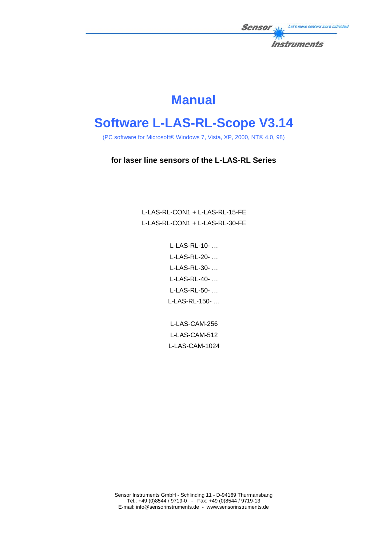

# **Manual**

# **Software L-LAS-RL-Scope V3.14**

(PC software for Microsoft® Windows 7, Vista, XP, 2000, NT® 4.0, 98)

# **for laser line sensors of the L-LAS-RL Series**

L-LAS-RL-CON1 + L-LAS-RL-15-FE L-LAS-RL-CON1 + L-LAS-RL-30-FE

> L-LAS-RL-10- … L-LAS-RL-20- … L-LAS-RL-30- … L-LAS-RL-40- … L-LAS-RL-50- … L-LAS-RL-150- …

L-LAS-CAM-256 L-LAS-CAM-512 L-LAS-CAM-1024

Sensor Instruments GmbH - Schlinding 11 - D-94169 Thurmansbang Tel.: +49 (0)8544 / 9719-0 - Fax: +49 (0)8544 / 9719-13 E-mail: info@sensorinstruments.de - www.sensorinstruments.de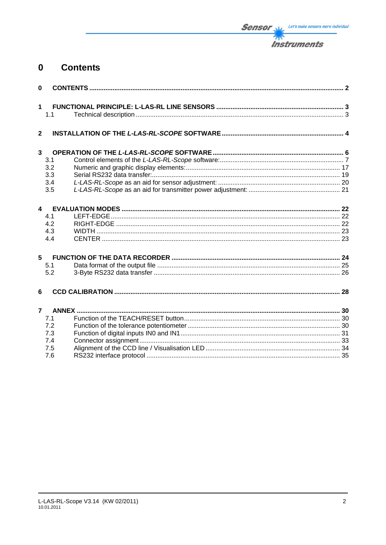

#### **Contents**  $\mathbf 0$

| $\mathbf{0}$            |     |  |
|-------------------------|-----|--|
| $\mathbf{1}$            | 1.1 |  |
| $\overline{\mathbf{2}}$ |     |  |
| $\overline{\mathbf{3}}$ |     |  |
|                         | 3.1 |  |
|                         | 3.2 |  |
|                         | 3.3 |  |
|                         | 3.4 |  |
|                         | 3.5 |  |
| 4                       |     |  |
|                         | 4.1 |  |
|                         | 4.2 |  |
|                         | 4.3 |  |
|                         | 4.4 |  |
| 5                       |     |  |
|                         | 5.1 |  |
|                         | 5.2 |  |
|                         |     |  |
| 6                       |     |  |
| $\overline{7}$          |     |  |
|                         | 7.1 |  |
|                         | 7.2 |  |
|                         | 7.3 |  |
|                         | 7.4 |  |
|                         | 7.5 |  |
|                         | 7.6 |  |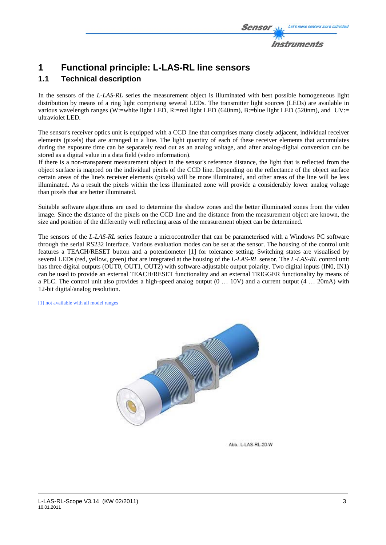

# **1 Functional principle: L-LAS-RL line sensors**

# **1.1 Technical description**

In the sensors of the *L-LAS-RL* series the measurement object is illuminated with best possible homogeneous light distribution by means of a ring light comprising several LEDs. The transmitter light sources (LEDs) are available in various wavelength ranges (W:=white light LED, R:=red light LED (640nm), B:=blue light LED (520nm), and UV:= ultraviolet LED.

The sensor's receiver optics unit is equipped with a CCD line that comprises many closely adjacent, individual receiver elements (pixels) that are arranged in a line. The light quantity of each of these receiver elements that accumulates during the exposure time can be separately read out as an analog voltage, and after analog-digital conversion can be stored as a digital value in a data field (video information).

If there is a non-transparent measurement object in the sensor's reference distance, the light that is reflected from the object surface is mapped on the individual pixels of the CCD line. Depending on the reflectance of the object surface certain areas of the line's receiver elements (pixels) will be more illuminated, and other areas of the line will be less illuminated. As a result the pixels within the less illuminated zone will provide a considerably lower analog voltage than pixels that are better illuminated.

Suitable software algorithms are used to determine the shadow zones and the better illuminated zones from the video image. Since the distance of the pixels on the CCD line and the distance from the measurement object are known, the size and position of the differently well reflecting areas of the measurement object can be determined.

The sensors of the *L-LAS-RL* series feature a microcontroller that can be parameterised with a Windows PC software through the serial RS232 interface. Various evaluation modes can be set at the sensor. The housing of the control unit features a TEACH/RESET button and a potentiometer [1] for tolerance setting. Switching states are visualised by several LEDs (red, yellow, green) that are integrated at the housing of the *L-LAS-RL* sensor. The *L-LAS-RL* control unit has three digital outputs (OUT0, OUT1, OUT2) with software-adjustable output polarity. Two digital inputs (IN0, IN1) can be used to provide an external TEACH/RESET functionality and an external TRIGGER functionality by means of a PLC. The control unit also provides a high-speed analog output (0 … 10V) and a current output (4 … 20mA) with 12-bit digital/analog resolution.

[1] not available with all model ranges



Abb : L-LAS-RL-20-W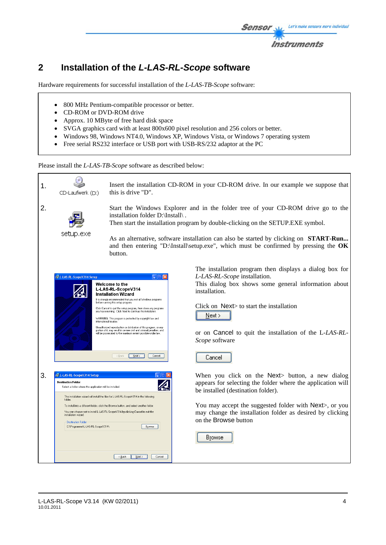

# **2 Installation of the** *L-LAS-RL-Scope* **software**

Hardware requirements for successful installation of the *L-LAS-TB-Scope* software:

- 800 MHz Pentium-compatible processor or better.
- CD-ROM or DVD-ROM drive
- Approx. 10 MByte of free hard disk space
- SVGA graphics card with at least 800x600 pixel resolution and 256 colors or better.
- Windows 98, Windows NT4.0, Windows XP, Windows Vista, or Windows 7 operating system
- Free serial RS232 interface or USB port with USB-RS/232 adaptor at the PC

Please install the *L-LAS-TB-Scope* software as described below:

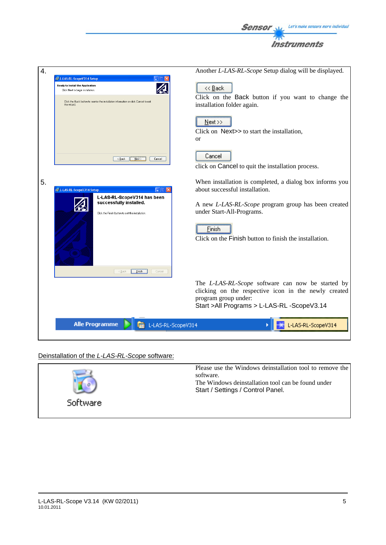



# Deinstallation of the *L-LAS-RL-Scope* software:

![](_page_4_Figure_3.jpeg)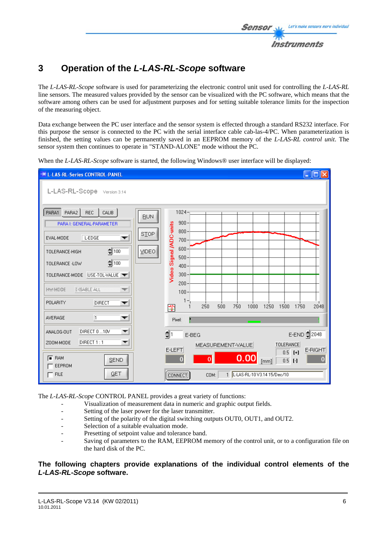# **3 Operation of the** *L-LAS-RL-Scope* **software**

The *L-LAS-RL-Scope* software is used for parameterizing the electronic control unit used for controlling the *L-LAS-RL* line sensors. The measured values provided by the sensor can be visualized with the PC software, which means that the software among others can be used for adjustment purposes and for setting suitable tolerance limits for the inspection of the measuring object.

Data exchange between the PC user interface and the sensor system is effected through a standard RS232 interface. For this purpose the sensor is connected to the PC with the serial interface cable cab-las-4/PC. When parameterization is finished, the setting values can be permanently saved in an EEPROM memory of the *L-LAS-RL control unit*. The sensor system then continues to operate in "STAND-ALONE" mode without the PC.

When the *L-LAS-RL-Scope* software is started, the following Windows® user interface will be displayed:

![](_page_5_Figure_5.jpeg)

The *L-LAS-RL-Scope* CONTROL PANEL provides a great variety of functions:

- Visualization of measurement data in numeric and graphic output fields.
- Setting of the laser power for the laser transmitter.
- Setting of the polarity of the digital switching outputs OUT0, OUT1, and OUT2.
- Selection of a suitable evaluation mode.
- Presetting of setpoint value and tolerance band.
- Saving of parameters to the RAM, EEPROM memory of the control unit, or to a configuration file on the hard disk of the PC.

## **The following chapters provide explanations of the individual control elements of the**  *L-LAS-RL-Scope* **software.**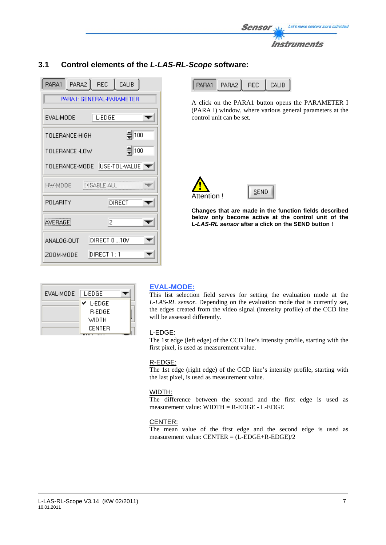![](_page_6_Picture_0.jpeg)

## PARA1 PARA2 **REC** CALIB. PARA I: GENERAL-PARAMETER EVAL-MODE L-EDGE  $\overline{\phantom{a}}$  $\frac{1}{2}$  100 TOLERANCE-HIGH  $\frac{4}{2}$  100 TOLERANCE -LOW TOLERANCE-MODE USE-TOL-VALUE **HW-MOOE IMSABLE ALL** POLARITY **DIRECT** AVERAGE  $\overline{2}$ DIRECT 0...10V ANALOG-OUT ZOOM-MODE IDIRECT 1 : 1

| EVAL-MODE | L-EDGE        |  |
|-----------|---------------|--|
|           | L-EDGE<br>✓   |  |
|           | <b>R-EDGE</b> |  |
|           | WIDTH         |  |
|           | <b>CENTER</b> |  |

# **3.1 Control elements of the** *L-LAS-RL-Scope* **software:**

|  | ı<br>۲Δ۱ |  | \I IR |
|--|----------|--|-------|
|--|----------|--|-------|

A click on the PARA1 button opens the PARAMETER I (PARA I) window, where various general parameters at the control unit can be set.

![](_page_6_Picture_6.jpeg)

![](_page_6_Picture_7.jpeg)

**Changes that are made in the function fields described below only become active at the control unit of the** *L-LAS-RL sensor* **after a click on the SEND button !**

# **EVAL-MODE:**

This list selection field serves for setting the evaluation mode at the *L-LAS-RL sensor*. Depending on the evaluation mode that is currently set, the edges created from the video signal (intensity profile) of the CCD line will be assessed differently.

### L-EDGE:

The 1st edge (left edge) of the CCD line's intensity profile, starting with the first pixel, is used as measurement value.

### R-EDGE:

The 1st edge (right edge) of the CCD line's intensity profile, starting with the last pixel, is used as measurement value.

### WIDTH:

The difference between the second and the first edge is used as measurement value: WIDTH = R-EDGE - L-EDGE

# CENTER:

The mean value of the first edge and the second edge is used as measurement value: CENTER = (L-EDGE+R-EDGE)/2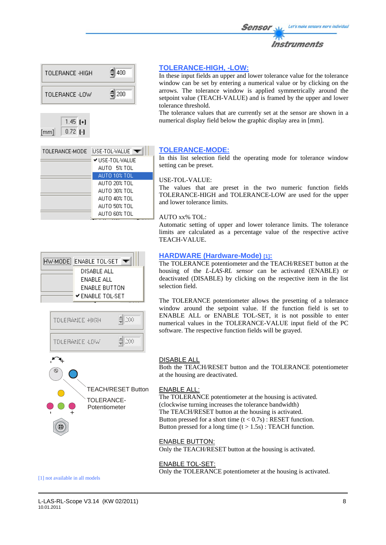![](_page_7_Picture_0.jpeg)

![](_page_7_Figure_1.jpeg)

AUTO 20% TOL AUTO 30% TOL AUTO 40% TOL AUTO 50% TOL AUTO 60% TOL

### **TOLERANCE-HIGH, -LOW:**

In these input fields an upper and lower tolerance value for the tolerance window can be set by entering a numerical value or by clicking on the arrows. The tolerance window is applied symmetrically around the setpoint value (TEACH-VALUE) and is framed by the upper and lower tolerance threshold.

The tolerance values that are currently set at the sensor are shown in a numerical display field below the graphic display area in [mm].

### **TOLERANCE-MODE:**

In this list selection field the operating mode for tolerance window setting can be preset.

### USE-TOL-VALUE:

The values that are preset in the two numeric function fields TOLERANCE-HIGH and TOLERANCE-LOW are used for the upper and lower tolerance limits.

AUTO xx% TOL:

Automatic setting of upper and lower tolerance limits. The tolerance limits are calculated as a percentage value of the respective active TEACH-VALUE.

![](_page_7_Picture_11.jpeg)

![](_page_7_Picture_12.jpeg)

### **HARDWARE (Hardware-Mode) [1]:**

The TOLERANCE potentiometer and the TEACH/RESET button at the housing of the *L-LAS-RL sensor* can be activated (ENABLE) or deactivated (DISABLE) by clicking on the respective item in the list selection field.

The TOLERANCE potentiometer allows the presetting of a tolerance window around the setpoint value. If the function field is set to ENABLE ALL or ENABLE TOL-SET, it is not possible to enter numerical values in the TOLERANCE-VALUE input field of the PC software. The respective function fields will be grayed.

![](_page_7_Figure_16.jpeg)

### DISABLE ALL

Both the TEACH/RESET button and the TOLERANCE potentiometer at the housing are deactivated.

### ENABLE ALL:

The TOLERANCE potentiometer at the housing is activated. (clockwise turning increases the tolerance bandwidth) The TEACH/RESET button at the housing is activated. Button pressed for a short time  $(t < 0.7s)$ : RESET function. Button pressed for a long time  $(t > 1.5s)$ : TEACH function.

### ENABLE BUTTON:

Only the TEACH/RESET button at the housing is activated.

#### ENABLE TOL-SET:

Only the TOLERANCE potentiometer at the housing is activated.

[1] not available in all models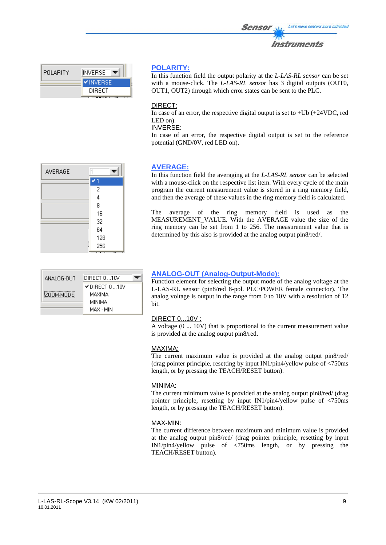| 外下         |  |
|------------|--|
| nstruments |  |

Let's make sensors more individual

| <b>OLARITY</b> |  |
|----------------|--|
|                |  |

In this function field the output polarity at the *L-LAS-RL sensor* can be set with a mouse-click. The *L-LAS-RL sensor* has 3 digital outputs (OUT0, OUT1, OUT2) through which error states can be sent to the PLC.

Sensor

### DIRECT:

In case of an error, the respective digital output is set to  $+Ub$   $(+24VDC, red$ LED on).

INVERSE:

In case of an error, the respective digital output is set to the reference potential (GND/0V, red LED on).

# **AVERAGE:** In this function field the averaging at the *L-LAS-RL sensor* can be selected with a mouse-click on the respective list item. With every cycle of the main

program the current measurement value is stored in a ring memory field, and then the average of these values in the ring memory field is calculated.

The average of the ring memory field is used as the MEASUREMENT VALUE. With the AVERAGE value the size of the ring memory can be set from 1 to 256. The measurement value that is determined by this also is provided at the analog output pin8/red/.

| ANALOG-OUT | DIRECT 0 10V                                               |  |
|------------|------------------------------------------------------------|--|
| ZOOM-MODE  | $\checkmark$ direct 0 10V<br>MAXIMA<br>MINIMA<br>MAX - MIN |  |

# **ANALOG-OUT (Analog-Output-Mode):**

Function element for selecting the output mode of the analog voltage at the L-LAS-RL sensor (pin8/red 8-pol. PLC/POWER female connector). The analog voltage is output in the range from 0 to 10V with a resolution of 12 bit.

# DIRECT 0...10V :

A voltage (0 ... 10V) that is proportional to the current measurement value is provided at the analog output pin8/red.

### MAXIMA:

The current maximum value is provided at the analog output pin8/red/ (drag pointer principle, resetting by input IN1/pin4/yellow pulse of <750ms length, or by pressing the TEACH/RESET button).

# MINIMA:

The current minimum value is provided at the analog output pin8/red/ (drag pointer principle, resetting by input IN1/pin4/yellow pulse of <750ms length, or by pressing the TEACH/RESET button).

# MAX-MIN:

The current difference between maximum and minimum value is provided at the analog output pin8/red/ (drag pointer principle, resetting by input IN1/pin4/yellow pulse of <750ms length, or by pressing the TEACH/RESET button).

| AVERAGE |                |  |
|---------|----------------|--|
|         |                |  |
|         | 2              |  |
|         | $\overline{4}$ |  |
|         | 8              |  |
|         | 16             |  |
|         | 32             |  |
|         | 64             |  |
|         | 128            |  |
|         | 256            |  |
|         |                |  |

пl

**INVERSE VINVERSE DIRECT** 

POLARITY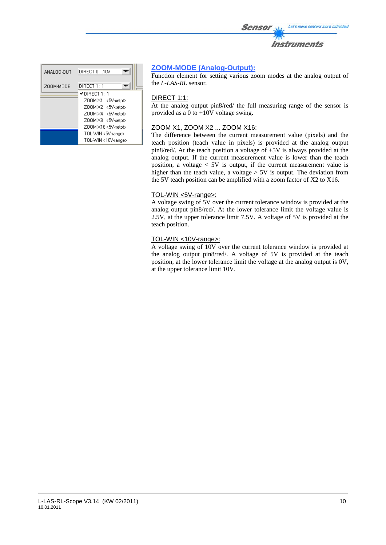![](_page_9_Picture_0.jpeg)

| ANALOG-OUT | DIRECT 010V             |
|------------|-------------------------|
| ZOOM-MODE  | DIRECT 1 : 1            |
|            | $\checkmark$ DIRECT 1:1 |
|            | Z00M X1 <5V-setpt>      |
|            | Z00MX2 <5V-setpt>       |
|            | Z00M X4 <5V-setpt>      |
|            | Z00MX8 <5V-setpt>       |
|            | Z00M X16 <5V-setpt>     |
|            | TOL-WIN <5V-range>      |
|            | TOL-WIN <10V-range>     |

## **ZOOM-MODE (Analog-Output):**

Function element for setting various zoom modes at the analog output of the *L-LAS-RL* sensor*.*

### DIRECT 1:1:

At the analog output pin8/red/ the full measuring range of the sensor is provided as a 0 to +10V voltage swing.

### ZOOM X1, ZOOM X2 ... ZOOM X16:

The difference between the current measurement value (pixels) and the teach position (teach value in pixels) is provided at the analog output pin8/red/. At the teach position a voltage of +5V is always provided at the analog output. If the current measurement value is lower than the teach position, a voltage  $\lt 5V$  is output, if the current measurement value is higher than the teach value, a voltage  $> 5V$  is output. The deviation from the 5V teach position can be amplified with a zoom factor of X2 to X16.

### TOL-WIN <5V-range>:

A voltage swing of 5V over the current tolerance window is provided at the analog output pin8/red/. At the lower tolerance limit the voltage value is 2.5V, at the upper tolerance limit 7.5V. A voltage of 5V is provided at the teach position.

#### TOL-WIN <10V-range>:

A voltage swing of 10V over the current tolerance window is provided at the analog output pin8/red/. A voltage of 5V is provided at the teach position, at the lower tolerance limit the voltage at the analog output is 0V, at the upper tolerance limit 10V.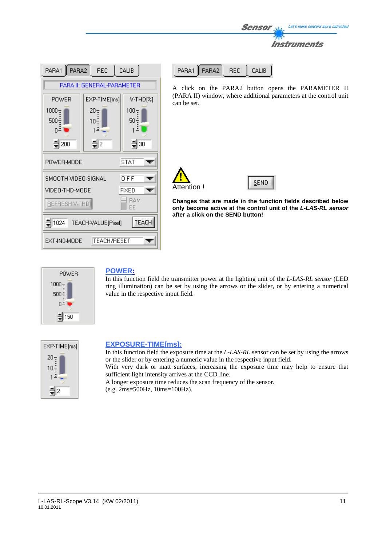| Let's make sensors more individual<br><b>Sensor</b> |
|-----------------------------------------------------|
| <i><b>Instruments</b></i>                           |
|                                                     |

| PARA2<br>REC<br>CALIB<br>PARA1                 |                            |                  |  |
|------------------------------------------------|----------------------------|------------------|--|
|                                                | PARA II: GENERAL-PARAMETER |                  |  |
| <b>POWER</b>                                   | EXP-TIME[ms]               | V-THD[%]         |  |
| $1000 -$<br>$500 -$<br>∃0                      | 20-<br>10÷                 | $100 -$<br>50 ÷  |  |
| $\frac{4}{3}$ 200                              | $\frac{1}{2}$              | $\frac{4}{3}$ 30 |  |
| STAT<br>POWER-MODE                             |                            |                  |  |
| SMOOTH-VIDEO-SIGNAL                            |                            | 0 FF             |  |
| VIDEO-THD-MODE                                 |                            | FIXED            |  |
| <b>BAM</b><br>BEFRESH V-THD<br>EE              |                            |                  |  |
| <b>TEACH</b><br>$= 1024$<br>TEACH-VALUE[Pixel] |                            |                  |  |
| <b>TEACH/RESET</b><br>EXT-IN0-MODE             |                            |                  |  |

| PARA1 PARA2 | REC I CAHR |
|-------------|------------|
|             |            |

A click on the PARA2 button opens the PARAMETER II (PARA II) window, where additional parameters at the control unit can be set.

![](_page_10_Picture_4.jpeg)

![](_page_10_Picture_5.jpeg)

**Changes that are made in the function fields described below only become active at the control unit of the** *L-LAS-RL sensor* **after a click on the SEND button!**

![](_page_10_Picture_7.jpeg)

### **POWER:**

In this function field the transmitter power at the lighting unit of the *L-LAS-RL sensor* (LED ring illumination) can be set by using the arrows or the slider, or by entering a numerical value in the respective input field.

![](_page_10_Picture_10.jpeg)

# **EXPOSURE-TIME[ms]:**

In this function field the exposure time at the *L-LAS-RL* sensor can be set by using the arrows or the slider or by entering a numeric value in the respective input field.

With very dark or matt surfaces, increasing the exposure time may help to ensure that sufficient light intensity arrives at the CCD line.

A longer exposure time reduces the scan frequency of the sensor.

(e.g. 2ms=500Hz, 10ms=100Hz).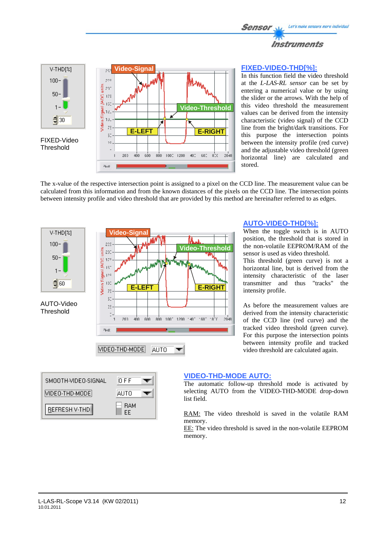![](_page_11_Picture_0.jpeg)

![](_page_11_Figure_1.jpeg)

## **FIXED-VIDEO-THD[%]:**

**AUTO-VIDEO-THD[%]:**

When the toggle switch is in AUTO position, the threshold that is stored in the non-volatile EEPROM/RAM of the sensor is used as video threshold. This threshold (green curve) is not a horizontal line, but is derived from the intensity characteristic of the laser transmitter and thus "tracks" the

As before the measurement values are derived from the intensity characteristic of the CCD line (red curve) and the tracked video threshold (green curve). For this purpose the intersection points between intensity profile and tracked video threshold are calculated again.

In this function field the video threshold at the *L-LAS-RL sensor* can be set by entering a numerical value or by using the slider or the arrows. With the help of this video threshold the measurement values can be derived from the intensity characteristic (video signal) of the CCD line from the bright/dark transitions. For this purpose the intersection points between the intensity profile (red curve) and the adjustable video threshold (green horizontal line) are calculated and stored.

The x-value of the respective intersection point is assigned to a pixel on the CCD line. The measurement value can be calculated from this information and from the known distances of the pixels on the CCD line. The intersection points between intensity profile and video threshold that are provided by this method are hereinafter referred to as edges.

![](_page_11_Figure_5.jpeg)

![](_page_11_Figure_6.jpeg)

# **VIDEO-THD-MODE AUTO:**

The automatic follow-up threshold mode is activated by selecting AUTO from the VIDEO-THD-MODE drop-down list field.

intensity profile.

RAM: The video threshold is saved in the volatile RAM memory.

EE: The video threshold is saved in the non-volatile EEPROM memory.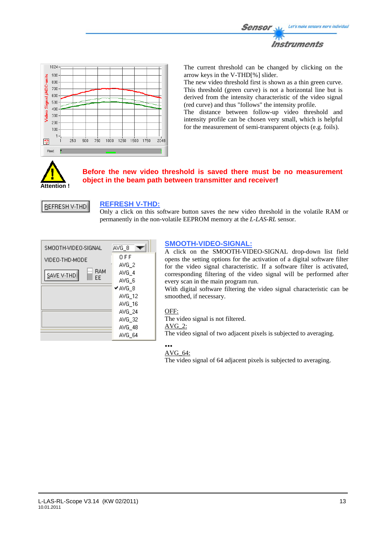![](_page_12_Picture_0.jpeg)

![](_page_12_Figure_1.jpeg)

The current threshold can be changed by clicking on the arrow keys in the V-THD[%] slider.

The new video threshold first is shown as a thin green curve. This threshold (green curve) is not a horizontal line but is derived from the intensity characteristic of the video signal (red curve) and thus "follows" the intensity profile.

The distance between follow-up video threshold and intensity profile can be chosen very small, which is helpful for the measurement of semi-transparent objects (e.g. foils).

![](_page_12_Picture_5.jpeg)

## **Before the new video threshold is saved there must be no measurement object in the beam path between transmitter and receiver!**

![](_page_12_Picture_7.jpeg)

### **REFRESH V-THD:**

Only a click on this software button saves the new video threshold in the volatile RAM or permanently in the non-volatile EEPROM memory at the *L-LAS-RL* sensor.

![](_page_12_Picture_10.jpeg)

### **SMOOTH-VIDEO-SIGNAL:**

A click on the SMOOTH-VIDEO-SIGNAL drop-down list field opens the setting options for the activation of a digital software filter for the video signal characteristic. If a software filter is activated, corresponding filtering of the video signal will be performed after every scan in the main program run.

With digital software filtering the video signal characteristic can be smoothed, if necessary.

### OFF:

The video signal is not filtered.

## AVG\_2:

The video signal of two adjacent pixels is subjected to averaging.

#### **...**  AVG\_64:

The video signal of 64 adjacent pixels is subjected to averaging.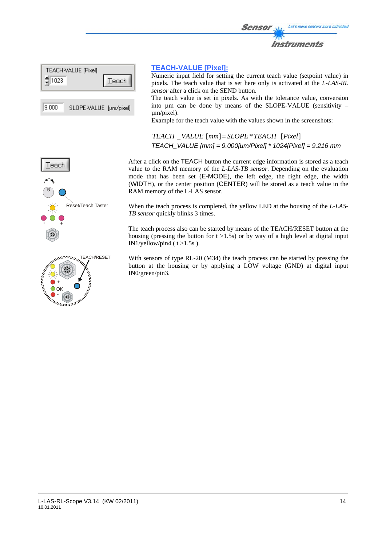![](_page_13_Picture_0.jpeg)

| TEACH-VALUE [Pixel] |        |
|---------------------|--------|
| 1023<br>∍           | Teach. |
|                     |        |

 $9.000$ SLOPE-VALUE [µm/pixel]

### **TEACH-VALUE [Pixel]:**

Numeric input field for setting the current teach value (setpoint value) in pixels. The teach value that is set here only is activated at the *L-LAS-RL sensor* after a click on the SEND button.

The teach value is set in pixels. As with the tolerance value, conversion into  $\mu$ m can be done by means of the SLOPE-VALUE (sensitivity – µm/pixel).

Example for the teach value with the values shown in the screenshots:

*TEACH* \_*VALUE* [*mm*]= *SLOPE*\**TEACH* [*Pixel*] *TEACH\_VALUE [mm] = 9.000[um/Pixel] \* 1024[Pixel] = 9.216 mm*

![](_page_13_Figure_8.jpeg)

![](_page_13_Picture_9.jpeg)

After a click on the TEACH button the current edge information is stored as a teach value to the RAM memory of the *L-LAS-TB sensor*. Depending on the evaluation mode that has been set (E-MODE), the left edge, the right edge, the width (WIDTH), or the center position (CENTER) will be stored as a teach value in the RAM memory of the L-LAS sensor.

When the teach process is completed, the yellow LED at the housing of the *L-LAS-TB sensor* quickly blinks 3 times.

The teach process also can be started by means of the TEACH/RESET button at the housing (pressing the button for  $t > 1.5s$ ) or by way of a high level at digital input IN1/yellow/pin4 ( $t > 1.5s$ ).

With sensors of type RL-20 (M34) the teach process can be started by pressing the button at the housing or by applying a LOW voltage (GND) at digital input IN0/green/pin3.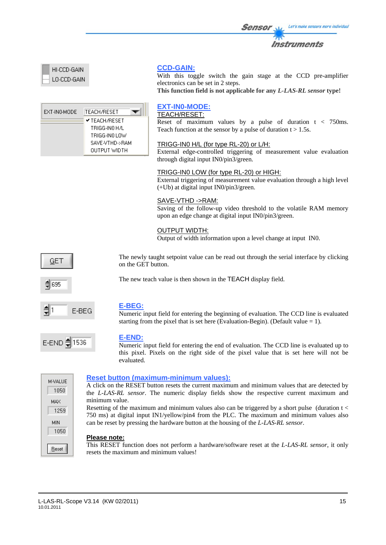|  | <i><b>Instruments</b></i> |  |  |
|--|---------------------------|--|--|

**Sensor** Will Let's make sensors more individual

| HI-CCD-GAIN |
|-------------|
| LO-CCD-GAIN |

| EXT-INO-MODE | ITEACH/RESET         |
|--------------|----------------------|
|              | <b>✔ TEACH/RESET</b> |
|              | TRIGG-INN H7L        |
|              | TRIGG-INO LOW        |
|              | SAVE-VTHD->RAM       |
|              | OUTPUT WIDTH         |

# **CCD-GAIN:**

With this toggle switch the gain stage at the CCD pre-amplifier electronics can be set in 2 steps.

**This function field is not applicable for any** *L-LAS-RL sensor* **type!**

# **EXT-IN0-MODE:**

TEACH/RESET:

Reset of maximum values by a pulse of duration t < 750ms. Teach function at the sensor by a pulse of duration  $t > 1.5s$ .

## TRIGG-IN0 H/L (for type RL-20) or L/H:

External edge-controlled triggering of measurement value evaluation through digital input IN0/pin3/green.

### TRIGG-IN0 LOW (for type RL-20) or HIGH:

External triggering of measurement value evaluation through a high level (+Ub) at digital input IN0/pin3/green.

### SAVE-VTHD ->RAM:

Saving of the follow-up video threshold to the volatile RAM memory upon an edge change at digital input IN0/pin3/green.

### OUTPUT WIDTH:

Output of width information upon a level change at input IN0.

The newly taught setpoint value can be read out through the serial interface by clicking on the GET button.

≜ 695

GET

![](_page_14_Picture_19.jpeg)

![](_page_14_Picture_20.jpeg)

### **E-BEG:**

Numeric input field for entering the beginning of evaluation. The CCD line is evaluated starting from the pixel that is set here (Evaluation-Begin). (Default value  $= 1$ ).

![](_page_14_Picture_23.jpeg)

### **E-END:**

Numeric input field for entering the end of evaluation. The CCD line is evaluated up to this pixel. Pixels on the right side of the pixel value that is set here will not be evaluated.

| M-VALUE |  |
|---------|--|
| 1050    |  |
| MAX     |  |
| 1259    |  |
| MIN     |  |
| 1050    |  |
|         |  |
| Reset   |  |
|         |  |

### **Reset button (maximum-minimum values):**

A click on the RESET button resets the current maximum and minimum values that are detected by the *L-LAS-RL sensor*. The numeric display fields show the respective current maximum and minimum value.

Resetting of the maximum and minimum values also can be triggered by a short pulse (duration t < 750 ms) at digital input IN1/yellow/pin4 from the PLC. The maximum and minimum values also can be reset by pressing the hardware button at the housing of the *L-LAS-RL sensor*.

### **Please note:**

This RESET function does not perform a hardware/software reset at the *L-LAS-RL sensor*, it only resets the maximum and minimum values!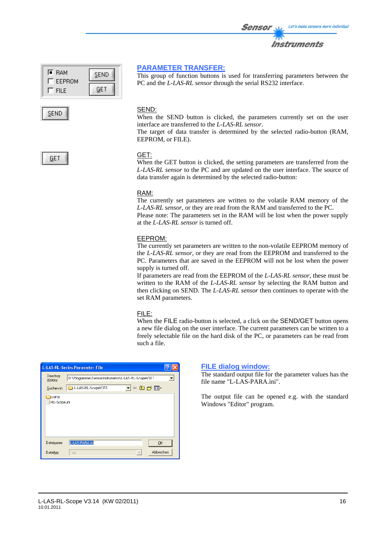![](_page_15_Figure_1.jpeg)

# **PARAMETER TRANSFER:**

This group of function buttons is used for transferring parameters between the PC and the *L-LAS-RL sensor* through the serial RS232 interface.

Sensor

Let's make sensors more individual

Instruments

### SEND:

When the SEND button is clicked, the parameters currently set on the user interface are transferred to the *L-LAS-RL sensor*.

The target of data transfer is determined by the selected radio-button (RAM, EEPROM, or FILE).

# GET

### GET:

When the GET button is clicked, the setting parameters are transferred from the *L-LAS-RL sensor* to the PC and are updated on the user interface. The source of data transfer again is determined by the selected radio-button:

### RAM:

The currently set parameters are written to the volatile RAM memory of the *L-LAS-RL sensor*, or they are read from the RAM and transferred to the PC. Please note: The parameters set in the RAM will be lost when the power supply

at the *L-LAS-RL sensor* is turned off.

### EEPROM:

The currently set parameters are written to the non-volatile EEPROM memory of the *L-LAS-RL sensor*, or they are read from the EEPROM and transferred to the PC. Parameters that are saved in the EEPROM will not be lost when the power supply is turned off.

If parameters are read from the EEPROM of the *L-LAS-RL sensor*, these must be written to the RAM of the *L-LAS-RL sensor* by selecting the RAM button and then clicking on SEND. The *L-LAS-RL sensor* then continues to operate with the set RAM parameters.

### FILE:

When the FILE radio-button is selected, a click on the SEND/GET button opens a new file dialog on the user interface. The current parameters can be written to a freely selectable file on the hard disk of the PC, or parameters can be read from such a file.

|                                     | <b>L-LAS-RL-Series Parameter File</b>                                                              |   |
|-------------------------------------|----------------------------------------------------------------------------------------------------|---|
| Directory<br>History:<br>Suchen in: | D:\Programme\SensorInstruments\L-LAS-RL-ScopeV311<br>Han Mar<br>L-LAS-RL-ScopeV311<br>$\mathbf{r}$ | ▼ |
| cvirte<br>RL-Scope.ini              |                                                                                                    |   |
| Dateiname:                          | L-LAS-PARA.ini<br><b>OK</b>                                                                        |   |
| Dateityp:                           | Abbrechen<br>".ini                                                                                 |   |

### **FILE dialog window:**

The standard output file for the parameter values has the file name "L-LAS-PARA.ini".

The output file can be opened e.g. with the standard Windows "Editor" program.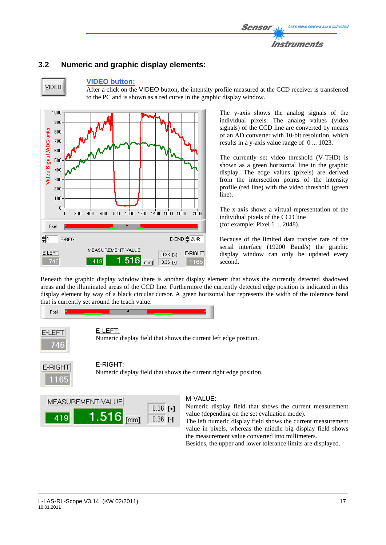![](_page_16_Picture_0.jpeg)

# **3.2 Numeric and graphic display elements:**

![](_page_16_Figure_2.jpeg)

**VIDEO** 

**VIDEO button:**  After a click on the VIDEO button, the intensity profile measured at the CCD receiver is transferred

to the PC and is shown as a red curve in the graphic display window.

 $1000<sup>3</sup>$ 900 Video Signal /ADC-units  $800<sub>1</sub>$ 700 600 500  $400$  $300$ 200 100  $\overline{0}$ 800 1000 1200 1400 1600 1800  $200$  $400$  $600$ 2048 Pivel  $\frac{1}{2}$ E-END 2048 E-BEG MEASUREMENT-VALUE E-LEFT E-RIGHT  $0.36$  [+]  $1.516$  [mm] 746 419  $0.36$   $I-I$ 1165

The y-axis shows the analog signals of the individual pixels. The analog values (video signals) of the CCD line are converted by means of an AD converter with 10-bit resolution, which results in a y-axis value range of 0 ... 1023.

The currently set video threshold (V-THD) is shown as a green horizontal line in the graphic display. The edge values (pixels) are derived from the intersection points of the intensity profile (red line) with the video threshold (green line).

The x-axis shows a virtual representation of the individual pixels of the CCD line (for example: Pixel 1 ... 2048).

Because of the limited data transfer rate of the serial interface (19200 Baud/s) the graphic display window can only be updated every second.

Beneath the graphic display window there is another display element that shows the currently detected shadowed areas and the illuminated areas of the CCD line. Furthermore the currently detected edge position is indicated in this display element by way of a black circular cursor. A green horizontal bar represents the width of the tolerance band that is currently set around the teach value.

![](_page_16_Figure_10.jpeg)

![](_page_16_Figure_11.jpeg)

E-RIGHT:

Numeric display field that shows the current right edge position.

![](_page_16_Picture_14.jpeg)

# M-VALUE:

Numeric display field that shows the current measurement value (depending on the set evaluation mode).

The left numeric display field shows the current measurement value in pixels, whereas the middle big display field shows the measurement value converted into millimeters. Besides, the upper and lower tolerance limits are displayed.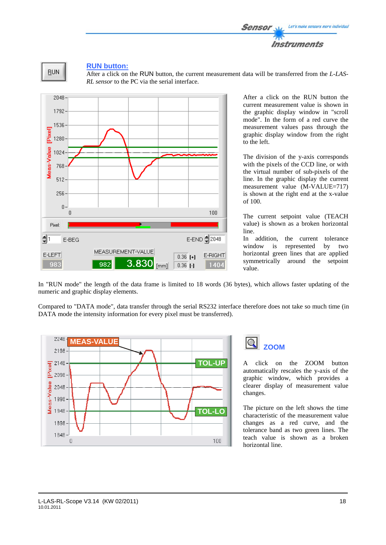![](_page_17_Picture_0.jpeg)

![](_page_17_Figure_1.jpeg)

### **RUN button:**

After a click on the RUN button, the current measurement data will be transferred from the *L-LAS-RL sensor* to the PC via the serial interface.

![](_page_17_Figure_4.jpeg)

After a click on the RUN button the current measurement value is shown in the graphic display window in "scroll mode". In the form of a red curve the measurement values pass through the graphic display window from the right to the left.

The division of the y-axis corresponds with the pixels of the CCD line, or with the virtual number of sub-pixels of the line. In the graphic display the current measurement value (M-VALUE=717) is shown at the right end at the x-value of 100.

The current setpoint value (TEACH value) is shown as a broken horizontal line.

In addition, the current tolerance window is represented by two horizontal green lines that are applied symmetrically around the setpoint value.

In "RUN mode" the length of the data frame is limited to 18 words (36 bytes), which allows faster updating of the numeric and graphic display elements.

Compared to "DATA mode", data transfer through the serial RS232 interface therefore does not take so much time (in DATA mode the intensity information for every pixel must be transferred).

![](_page_17_Figure_11.jpeg)

![](_page_17_Picture_12.jpeg)

A click on the ZOOM button automatically rescales the y-axis of the graphic window, which provides a clearer display of measurement value changes.

The picture on the left shows the time characteristic of the measurement value changes as a red curve, and the tolerance band as two green lines. The teach value is shown as a broken horizontal line.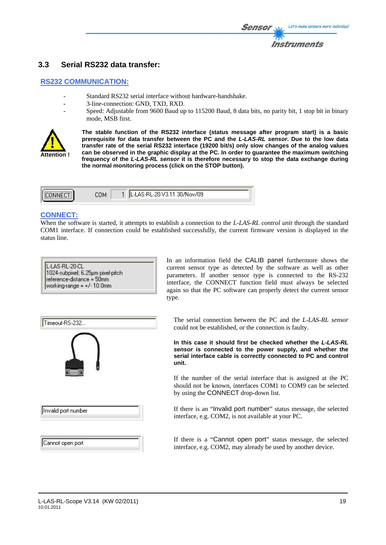# **3.3 Serial RS232 data transfer:**

### **RS232 COMMUNICATION:**

- Standard RS232 serial interface without hardware-handshake.
- 3-line-connection: GND, TXD, RXD.
	- Speed: Adjustable from 9600 Baud up to 115200 Baud, 8 data bits, no parity bit, 1 stop bit in binary mode, MSB first.

![](_page_18_Picture_6.jpeg)

**The stable function of the RS232 interface (status message after program start) is a basic prerequisite for data transfer between the PC and the** *L-LAS-RL sensor***. Due to the low data transfer rate of the serial RS232 interface (19200 bit/s) only slow changes of the analog values can be observed in the graphic display at the PC. In order to guarantee the maximum switching frequency of the** *L-LAS-RL sensor* **it is therefore necessary to stop the data exchange during the normal monitoring process (click on the STOP button).** 

![](_page_18_Picture_8.jpeg)

# **CONNECT:**

When the software is started, it attempts to establish a connection to the *L-LAS-RL control unit* through the standard COM1 interface. If connection could be established successfully, the current firmware version is displayed in the status line.

| L-LAS-RL-20-CL                    |
|-----------------------------------|
|                                   |
| 1024-subpixel; 6.25µm pixel-pitch |
| reference-distance = 50mm         |
| working-range = $+/-10.0$ mm      |
|                                   |

![](_page_18_Figure_12.jpeg)

The serial connection between the PC and the *L-LAS-RL sensor* could not be established, or the connection is faulty.

**In this case it should first be checked whether the** *L-LAS-RL sensor* **is connected to the power supply, and whether the serial interface cable is correctly connected to PC and control unit.** 

If the number of the serial interface that is assigned at the PC should not be known, interfaces COM1 to COM9 can be selected by using the CONNECT drop-down list.

If there is an "Invalid port number" status message, the selected interface, e.g. COM2, is not available at your PC.

If there is a "Cannot open port" status message, the selected interface, e.g. COM2, may already be used by another device.

# Cannot open port

Invalid port number

Timeout-RS-232..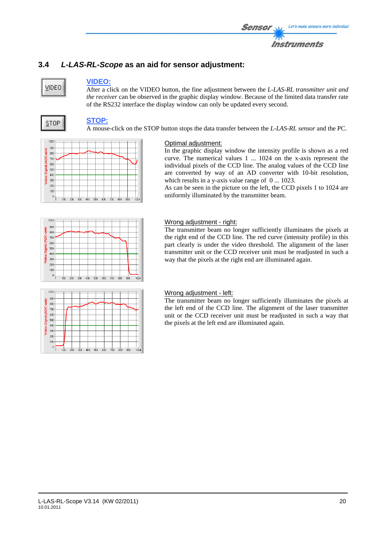# **3.4** *L-LAS-RL-Scope* **as an aid for sensor adjustment:**

# VIDEO

# **VIDEO:**

After a click on the VIDEO button, the fine adjustment between the *L-LAS-RL transmitter unit and the receiver* can be observed in the graphic display window. Because of the limited data transfer rate of the RS232 interface the display window can only be updated every second.

![](_page_19_Picture_5.jpeg)

# **STOP:**

A mouse-click on the STOP button stops the data transfer between the *L-LAS-RL sensor* and the PC.

![](_page_19_Figure_8.jpeg)

# Optimal adjustment:

In the graphic display window the intensity profile is shown as a red curve. The numerical values 1 ... 1024 on the x-axis represent the individual pixels of the CCD line. The analog values of the CCD line are converted by way of an AD converter with 10-bit resolution, which results in a y-axis value range of 0 ... 1023.

As can be seen in the picture on the left, the CCD pixels 1 to 1024 are uniformly illuminated by the transmitter beam.

![](_page_19_Figure_12.jpeg)

## Wrong adjustment - right:

The transmitter beam no longer sufficiently illuminates the pixels at the right end of the CCD line. The red curve (intensity profile) in this part clearly is under the video threshold. The alignment of the laser transmitter unit or the CCD receiver unit must be readjusted in such a way that the pixels at the right end are illuminated again.

![](_page_19_Figure_15.jpeg)

# Wrong adjustment - left:

The transmitter beam no longer sufficiently illuminates the pixels at the left end of the CCD line. The alignment of the laser transmitter unit or the CCD receiver unit must be readjusted in such a way that the pixels at the left end are illuminated again.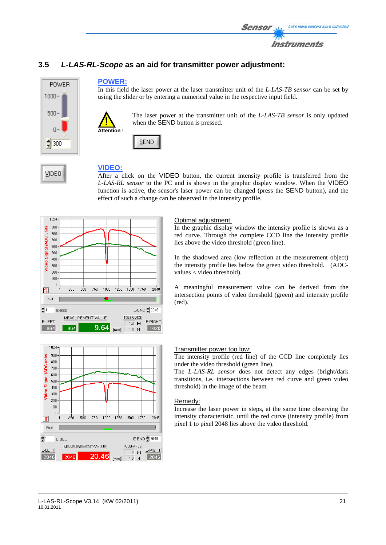![](_page_20_Picture_0.jpeg)

# **3.5** *L-LAS-RL-Scope* **as an aid for transmitter power adjustment:**

![](_page_20_Picture_2.jpeg)

VIDEO

### **POWER:**

In this field the laser power at the laser transmitter unit of the *L-LAS-TB sensor* can be set by using the slider or by entering a numerical value in the respective input field.

![](_page_20_Picture_5.jpeg)

The laser power at the transmitter unit of the *L-LAS-TB sensor* is only updated when the SEND button is pressed.

![](_page_20_Figure_7.jpeg)

# **VIDEO:**

After a click on the VIDEO button, the current intensity profile is transferred from the *L-LAS-RL sensor* to the PC and is shown in the graphic display window. When the VIDEO function is active, the sensor's laser power can be changed (press the SEND button), and the effect of such a change can be observed in the intensity profile.

![](_page_20_Figure_10.jpeg)

## Optimal adjustment:

In the graphic display window the intensity profile is shown as a red curve. Through the complete CCD line the intensity profile lies above the video threshold (green line).

In the shadowed area (low reflection at the measurement object) the intensity profile lies below the green video threshold. (ADCvalues < video threshold).

A meaningful measurement value can be derived from the intersection points of video threshold (green) and intensity profile (red).

![](_page_20_Figure_15.jpeg)

### Transmitter power too low:

The intensity profile (red line) of the CCD line completely lies under the video threshold (green line).

The *L-LAS-RL sensor* does not detect any edges (bright/dark transitions, i.e. intersections between red curve and green video threshold) in the image of the beam.

### Remedy:

Increase the laser power in steps, at the same time observing the intensity characteristic, until the red curve (intensity profile) from pixel 1 to pixel 2048 lies above the video threshold.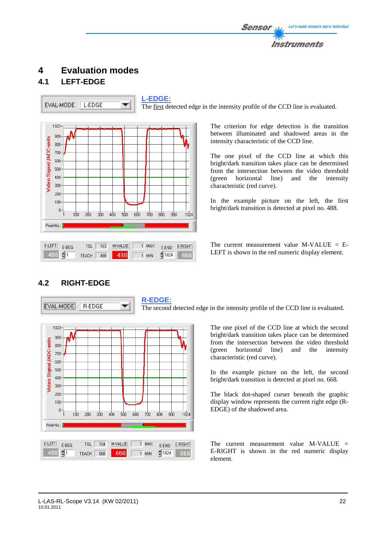![](_page_21_Picture_0.jpeg)

# **4 Evaluation modes**

# **4.1 LEFT-EDGE**

EVAL-MODE L-EDGE

**L-EDGE:** 

 $1024$ 

668

 $\overline{1}$  MIN

![](_page_21_Figure_5.jpeg)

488

The first detected edge in the intensity profile of the CCD line is evaluated.

The criterion for edge detection is the transition between illuminated and shadowed areas in the intensity characteristic of the CCD line.

The one pixel of the CCD line at which this bright/dark transition takes place can be determined from the intersection between the video threshold (green horizontal line) and the intensity characteristic (red curve).

In the example picture on the left, the first bright/dark transition is detected at pixel no. 488.

The current measurement value M-VALUE = E-LEFT is shown in the red numeric display element.

# **4.2 RIGHT-EDGE**

TEACH 488

488

**R-EDGE:**  EVAL-MODE  $R$ -EDGE ▼ The second detected edge in the intensity profile of the CCD line is evaluated. 1023 The one pixel of the CCD line at which the second bright/dark transition takes place can be determined 900 Video Signal /ADC-units from the intersection between the video threshold  $800 -$ (green horizontal line) and the intensity  $700$ characteristic (red curve).  $600<sub>1</sub>$  $500<sub>1</sub>$ In the example picture on the left, the second  $400<sup>1</sup>$ bright/dark transition is detected at pixel no. 668.  $300 -$ 

The black dot-shaped curser beneath the graphic display window represents the current right edge (R-EDGE) of the shadowed area.

The current measurement value M-VALUE = E-RIGHT is shown in the red numeric display element.

![](_page_21_Figure_15.jpeg)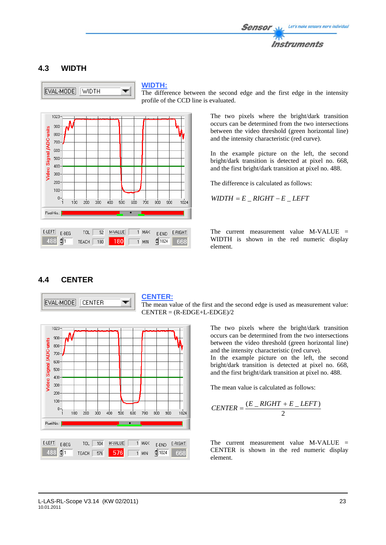![](_page_22_Picture_0.jpeg)

# **4.3 WIDTH**

EVAL-MODE WIDTH

### **WIDTH:**

The difference between the second edge and the first edge in the intensity profile of the CCD line is evaluated.

![](_page_22_Figure_5.jpeg)

The two pixels where the bright/dark transition occurs can be determined from the two intersections between the video threshold (green horizontal line) and the intensity characteristic (red curve).

In the example picture on the left, the second bright/dark transition is detected at pixel no. 668, and the first bright/dark transition at pixel no. 488.

The difference is calculated as follows:

 $WIDTH = E_RIGHT - E_LEFT$ 

The current measurement value  $M-VALUE$  = WIDTH is shown in the red numeric display element.

# **4.4 CENTER**

![](_page_22_Figure_12.jpeg)

### **CENTER:**

The mean value of the first and the second edge is used as measurement value:  $CENTER = (R-EDGE+L-EDGE)/2$ 

> The two pixels where the bright/dark transition occurs can be determined from the two intersections between the video threshold (green horizontal line) and the intensity characteristic (red curve).

> In the example picture on the left, the second bright/dark transition is detected at pixel no. 668, and the first bright/dark transition at pixel no. 488.

The mean value is calculated as follows:

$$
CENTER = \frac{(E_RIGHT + E_LLEFT)}{2}
$$

The current measurement value M-VALUE = CENTER is shown in the red numeric display element.

![](_page_22_Figure_20.jpeg)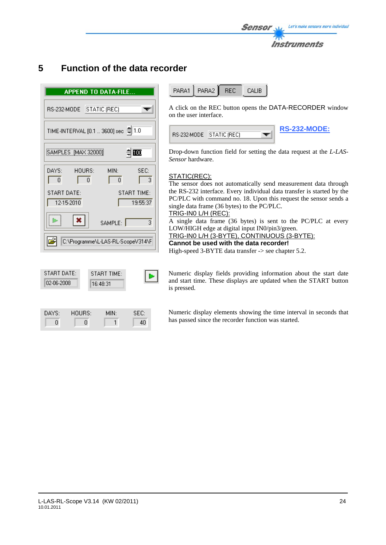![](_page_23_Picture_0.jpeg)

# **5 Function of the data recorder**

| <b>APPEND TO DATA-FILE</b>                                                             |
|----------------------------------------------------------------------------------------|
| RS-232-MODE STATIC (REC)                                                               |
| TIME-INTERVAL [0.1  3600] sec = 1.0                                                    |
| 自画<br>SAMPLES [MAX 32000]                                                              |
| DAYS: HOURS:<br>MIN-<br>SEC:<br>$\overline{0}$<br>Ū.<br>$\mathbf{0}$<br>$\overline{3}$ |
| START DATE:<br><b>START TIME:</b><br>12-15-2010<br>19:55:37                            |
| $ \mathbf{x} $<br>  m  <br>3<br>SAMPLE:                                                |
| C:\Programme\L-LAS-RL-ScopeV314\F                                                      |
|                                                                                        |
| START DATE:<br><b>START TIME:</b><br>02-06-2008<br>16:48:31                            |

DAYS:

 $\boldsymbol{0}$ 

HOURS:

 $\boldsymbol{0}$ 

MIN:

 $\overline{1}$ 

SEC: 40 PARA1 PARA2 **REC** CALIB

A click on the REC button opens the DATA-RECORDER window on the user interface.

| RS-232-MODE   STATIC (REC) |  | <b>RS-232-MODE:</b> |
|----------------------------|--|---------------------|
|                            |  |                     |

Drop-down function field for setting the data request at the *L-LAS-Sensor* hardware.

### STATIC(REC):

The sensor does not automatically send measurement data through the RS-232 interface. Every individual data transfer is started by the PC/PLC with command no. 18. Upon this request the sensor sends a single data frame (36 bytes) to the PC/PLC. TRIG-IN0 L/H (REC):

A single data frame (36 bytes) is sent to the PC/PLC at every LOW/HIGH edge at digital input IN0/pin3/green. TRIG-IN0 L/H (3-BYTE), CONTINUOUS (3-BYTE):

**Cannot be used with the data recorder!** 

High-speed 3-BYTE data transfer -> see chapter 5.2.

Numeric display fields providing information about the start date and start time. These displays are updated when the START button is pressed.

Numeric display elements showing the time interval in seconds that has passed since the recorder function was started.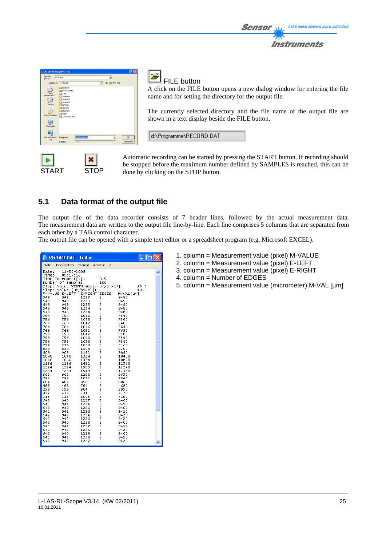![](_page_24_Picture_1.jpeg)

START STOP

FILE button

A click on the FILE button opens a new dialog window for entering the file name and for setting the directory for the output file.

The currently selected directory and the file name of the output file are shown in a text display beside the FILE button.

d:\Programme\RECORD.DAT

Automatic recording can be started by pressing the START button. If recording should be stopped before the maximum number defined by SAMPLES is reached, this can be done by clicking on the STOP button.

# **5.1 Data format of the output file**

The output file of the data recorder consists of 7 header lines, followed by the actual measurement data. The measurement data are written to the output file line-by-line. Each line comprises 5 columns that are separated from each other by a TAB control character.

The output file can be opened with a simple text editor or a spreadsheet program (e.g. Microsoft EXCEL).

| <b>RECORD.DAT - Editor</b>  |                   |                                    |                                     |               | INX  |   |
|-----------------------------|-------------------|------------------------------------|-------------------------------------|---------------|------|---|
| Datei                       | Bearbeiten Format |                                    | Ansicht<br>2                        |               |      |   |
| Date:                       | 11-30-2009        |                                    |                                     |               |      |   |
| Time:<br>Time-Increment[s]: | 09:15:16          |                                    | 0.5                                 |               |      |   |
| Number                      | of Samples:       |                                    | 100                                 |               |      |   |
|                             |                   | Slope-Value WIDTH-meas.[µm/pixel]: |                                     |               | 10.0 |   |
| Slope-Value                 |                   | [µm/pixel]:                        |                                     |               | 10.0 |   |
| M-VALUE                     | E-LEFT            | E-RIGHT                            | <b>EDGES</b>                        | M-VAL [um]    |      |   |
| 948                         | 948               | 1233                               | 2                                   | 9480          |      |   |
| 949                         | 949               | 1233                               |                                     | 9490          |      |   |
| 949                         | 949               | 1233                               |                                     | 9490          |      |   |
| 948                         | 948               | 1234<br>1234                       |                                     | 9480          |      |   |
| 948<br>754                  | 948<br>754        | 1036                               |                                     | 9480<br>7540  |      |   |
| 756                         | 756               | 1038                               |                                     | 7560          |      |   |
| 760                         | 760               | 1042                               |                                     | 7600          |      |   |
| 764                         | 764               | 1046                               |                                     | 7640          |      |   |
| 769                         | 769               | 1052                               |                                     | 7690          |      |   |
| 758                         | 758               | 1042                               |                                     | 7580          |      |   |
| 759                         | 759               | 1040                               |                                     | 7590          |      |   |
| 758                         | 758               | 1038                               |                                     | 7580          |      | Ē |
| 736                         | 736               | 1020                               |                                     | 7360          |      |   |
| 820                         | 820               | 1104                               |                                     | 8200          |      |   |
| 909<br>1040                 | 909<br>1040       | 1192<br>1324                       |                                     | 9090<br>10400 |      |   |
| 1086                        | 1086              | 1374                               |                                     | 10860         |      |   |
| 1136                        | 1136              | 1421                               |                                     | 11360         |      |   |
| 1224                        | 1224              | 1509                               |                                     | 12240         |      |   |
| 1234                        | 1234              | 1519                               |                                     | 12340         |      |   |
| 963                         | 963               | 1250                               |                                     | 9630          |      |   |
| 786                         | 786               | 1072                               |                                     | 7860          |      |   |
| 606                         | 606               | 898                                |                                     | 6060          |      |   |
| 468                         | 468               | 764                                |                                     | 4680          |      |   |
| 299<br>437                  | 299<br>437        | 604<br>731                         |                                     | 2990<br>4370  |      |   |
| 715                         | 715               | 1005                               |                                     | 7150          |      |   |
| 940                         | 940               | 1227                               |                                     | 9400          |      |   |
| 941                         | 941               | 1226                               |                                     | 9410          |      |   |
| 940                         | 940               | 1226                               |                                     | 9400          |      |   |
| 941                         | 941               | 1226                               |                                     | 9410          |      |   |
| 942                         | 942               | 1226                               |                                     | 9420          |      |   |
| 942                         | 942               | 1226                               |                                     | 9420          |      |   |
| 940                         | 940               | 1228                               |                                     | 9400          |      |   |
| 941<br>942                  | 941               | 1227                               |                                     | 9410          |      |   |
| 940                         | 942<br>940        | 1226<br>1228                       |                                     | 9420<br>9400  |      |   |
| 941                         | 941               | 1228                               |                                     | 9410          |      |   |
| 942                         | 942               | 1227                               | 22222222222222222222222222222222222 | 9420          |      |   |
|                             |                   |                                    |                                     |               |      |   |

- 1. column = Measurement value (pixel) M-VALUE
- 2. column = Measurement value (pixel) E-LEFT
- 3. column = Measurement value (pixel) E-RIGHT
- 4. column = Number of EDGES
- 5. column = Measurement value (micrometer) M-VAL [µm]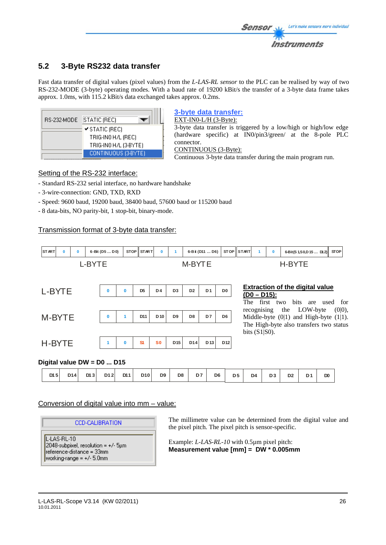# **5.2 3-Byte RS232 data transfer**

Fast data transfer of digital values (pixel values) from the *L-LAS-RL sensor* to the PLC can be realised by way of two RS-232-MODE (3-byte) operating modes. With a baud rate of 19200 kBit/s the transfer of a 3-byte data frame takes approx. 1.0ms, with 115.2 kBit/s data exchanged takes approx. 0.2ms.

| RS-232-MODE | STATIC (REC)          |
|-------------|-----------------------|
|             | ✔ STATIC (REC)        |
|             | TRIG-INO H/L (REC)    |
|             | TRIG-INO H/L (3-BYTE) |
|             | CONTINUOUS (3-BYTE)   |

# **3-byte data transfer:**

EXT-IN0-L/H (3-Byte):

3-byte data transfer is triggered by a low/high or high/low edge (hardware specific) at IN0/pin3/green/ at the 8-pole PLC connector.

### CONTINUOUS (3-Byte):

Continuous 3-byte data transfer during the main program run.

# Setting of the RS-232 interface:

- Standard RS-232 serial interface, no hardware handshake
- 3-wire-connection: GND, TXD, RXD
- Speed: 9600 baud, 19200 baud, 38400 baud, 57600 baud or 115200 baud
- 8 data-bits, NO parity-bit, 1 stop-bit, binary-mode.

# Transmission format of 3-byte data transfer:

![](_page_25_Figure_15.jpeg)

# **Digital value DW = D0 ... D15**

| D12<br>D11<br>D <sub>9</sub><br>D <sub>6</sub><br>D15<br>D <sub>8</sub><br>D <sub>5</sub><br>D <sub>4</sub><br>D <sub>14</sub><br>D7<br>D <sub>10</sub><br>DI3 | D <sub>2</sub><br>D <sub>2</sub><br>D <sub>1</sub> | D <sub>0</sub> |
|----------------------------------------------------------------------------------------------------------------------------------------------------------------|----------------------------------------------------|----------------|
|----------------------------------------------------------------------------------------------------------------------------------------------------------------|----------------------------------------------------|----------------|

# Conversion of digital value into mm – value:

# **CCD-CALIBRATION**

L-LAS-RL-10  $2048$ -subpixel, resolution =  $+/$ - 5 $µm$ reference-distance = 33mm working-range =  $+/-5.0$ mm

The millimetre value can be determined from the digital value and the pixel pitch. The pixel pitch is sensor-specific.

Example: *L-LAS-RL-10* with 0.5µm pixel pitch: **Measurement value [mm] = DW \* 0.005mm**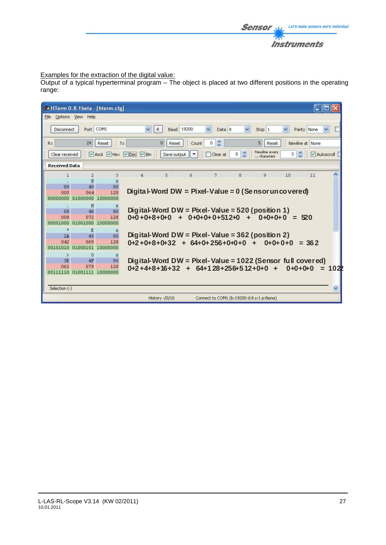![](_page_26_Picture_0.jpeg)

# Examples for the extraction of the digital value:

Output of a typical hyperterminal program – The object is placed at two different positions in the operating range:

| do HTerm 0.8.1beta - [hterm.cfg] |                            |                 |                     |                       |                                 |                                                            |                 |                             |             |                 |            |
|----------------------------------|----------------------------|-----------------|---------------------|-----------------------|---------------------------------|------------------------------------------------------------|-----------------|-----------------------------|-------------|-----------------|------------|
| File                             | Options View Help          |                 |                     |                       |                                 |                                                            |                 |                             |             |                 |            |
| Disconnect                       | Port                       | COM1            | $\ddotmark$         | R                     | Baud 19200                      | $\checkmark$<br>Data 8                                     | $\checkmark$    | Stop 1                      | $\ddotmark$ | Parity None     |            |
| Rx                               | 24                         | Reset           | Tx                  | $\mathbf{0}$<br>Reset | $\vdots$ Count                  | $\frac{\lambda}{\nu}$<br>$\overline{0}$                    |                 | 5 <sub>1</sub><br>Reset     |             | Newline at None |            |
| Clear received                   |                            |                 | Ascii Hex Dec Disin |                       | Save output $\ \bullet\ $<br>B. | Clear at                                                   | $0 \frac{A}{x}$ | Newline every<br>characters | 3           |                 | Autoscroll |
| <b>Received Data</b>             |                            |                 |                     |                       |                                 |                                                            |                 |                             |             |                 |            |
| 1                                | $\overline{c}$             | 3               | $\overline{4}$      | 5                     | 6                               | 7                                                          | 8               | 9                           | 10          | 11              |            |
|                                  | <b>R</b>                   | $\Box$          |                     |                       |                                 |                                                            |                 |                             |             |                 |            |
| 00<br>000                        | 40<br>064                  | 80<br>128       |                     |                       |                                 | Digital-Word DW = Pixel-Value = $0$ (Se nsor un covered)   |                 |                             |             |                 |            |
| nnnnnnn                          | .nunnnn                    | 10000000        |                     |                       |                                 |                                                            |                 |                             |             |                 |            |
|                                  | H                          | $\Box$          |                     |                       |                                 |                                                            |                 |                             |             |                 |            |
| 08                               | 48                         | 80              |                     |                       |                                 | Digital-Word DW = Pixel-Value = $520$ (position 1)         |                 |                             |             |                 |            |
| 008                              | 072                        | 128             |                     |                       |                                 | $0 + 0 + 8 + 0 + 0 + 0 + 0 + 0 + 512 + 0 + \cdots$         |                 | $0+0+0+0 = 520$             |             |                 |            |
| 00001000                         | 01001000                   | 10000000        |                     |                       |                                 |                                                            |                 |                             |             |                 |            |
| 沽                                | E                          | $\Box$          |                     |                       |                                 |                                                            |                 |                             |             |                 |            |
| 2A                               | 45                         | 80              |                     |                       |                                 | Digital-Word DW = Pixel-Value = $362$ (position 2)         |                 |                             |             |                 |            |
| 042<br>00101010                  | 069<br>01000101            | 128<br>10000000 |                     |                       |                                 | $0+2+0+8+0+32 + 64+0+256+0+0+0$                            |                 | $0+0+0+0$<br>$\frac{1}{2}$  |             | $= 362$         |            |
|                                  |                            |                 |                     |                       |                                 |                                                            |                 |                             |             |                 |            |
| $\geq$<br>3E                     | $\theta$<br>4F             | $\Box$<br>80    |                     |                       |                                 | Digital-Word DW = Pixel-Value = 1022 (Sensor full covered) |                 |                             |             |                 |            |
| 062                              | 079                        | 128             |                     |                       |                                 | $0+2+4+8+16+32 + 64+128+256+512+0+0 +$                     |                 |                             |             | $0+0+0+0$       | 102P       |
|                                  | 00111110 01001111 10000000 |                 |                     |                       |                                 |                                                            |                 |                             |             |                 |            |
|                                  |                            |                 |                     |                       |                                 |                                                            |                 |                             |             |                 |            |
| Selection (-)                    |                            |                 |                     |                       |                                 |                                                            |                 |                             |             |                 | ×          |
|                                  |                            |                 |                     | History -/0/10        |                                 | Connect to COM1 (b:19200 d:8 s:1 p:None)                   |                 |                             |             |                 |            |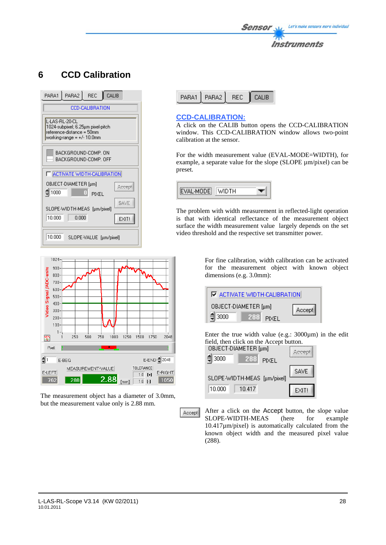![](_page_27_Picture_0.jpeg)

# **6 CCD Calibration**

| PARA1 PARA2 REC<br>CALIB                                                                                         |  |  |  |  |
|------------------------------------------------------------------------------------------------------------------|--|--|--|--|
| CCD-CALIBRATION                                                                                                  |  |  |  |  |
| L-LAS-RL-20-CL<br>1024-subpixel; 6.25µm pixel-pitch<br>reference-distance = 50mm<br>working-range = $+/-10.0$ mm |  |  |  |  |
| BACKGROUND-COMP. ON<br>BACKGROUND-COMP. OFF                                                                      |  |  |  |  |
| F ACTIVATE WIDTH-CALIBRATION                                                                                     |  |  |  |  |
| OBJECT-DIAMETER [µm]<br>\$1000<br>PIXEL                                                                          |  |  |  |  |
| SLOPE-WIDTH-MEAS [µm/pixel]                                                                                      |  |  |  |  |
| 10.000<br>0.000<br>EXIT!                                                                                         |  |  |  |  |
| 10.000<br>SLOPE-VALUE [µm/pixel]                                                                                 |  |  |  |  |

![](_page_27_Picture_3.jpeg)

## **CCD-CALIBRATION:**

A click on the CALIB button opens the CCD-CALIBRATION window. This CCD-CALIBRATION window allows two-point calibration at the sensor.

For the width measurement value (EVAL-MODE=WIDTH), for example, a separate value for the slope (SLOPE µm/pixel) can be preset.

![](_page_27_Picture_7.jpeg)

The problem with width measurement in reflected-light operation is that with identical reflectance of the measurement object surface the width measurement value largely depends on the set video threshold and the respective set transmitter power.

![](_page_27_Figure_9.jpeg)

The measurement object has a diameter of 3.0mm, but the measurement value only is 2.88 mm.

Accept

For fine calibration, width calibration can be activated for the measurement object with known object dimensions (e.g. 3.0mm):

![](_page_27_Figure_13.jpeg)

Enter the true width value (e.g.: 3000µm) in the edit field, then click on the Accept button.

![](_page_27_Figure_15.jpeg)

After a click on the Accept button, the slope value SLOPE-WIDTH-MEAS (here for example 10.417µm/pixel) is automatically calculated from the known object width and the measured pixel value (288).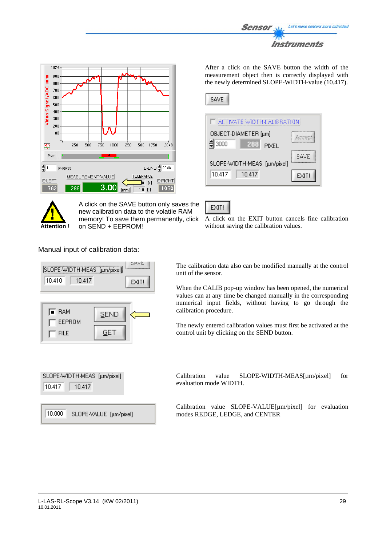![](_page_28_Picture_0.jpeg)

![](_page_28_Figure_1.jpeg)

![](_page_28_Picture_2.jpeg)

A click on the SAVE button only saves the new calibration data to the volatile RAM memory! To save them permanently, click on SEND + EEPROM!

After a click on the SAVE button the width of the measurement object then is correctly displayed with the newly determined SLOPE-WIDTH-value (10.417).

|--|

| ET ACTIVATE WIDTH CALIBRATION   |       |
|---------------------------------|-------|
| OBJECT-DIAMETER [µm]            |       |
| $= 3000$<br>288<br><b>PIXEL</b> |       |
| SLOPE-WIDTH-MEAS [µm/pixel]     |       |
| 10.417<br>10.417                | EXIT! |

EXIT!

A click on the EXIT button cancels fine calibration without saving the calibration values.

# Manual input of calibration data:

![](_page_28_Figure_10.jpeg)

SLOPE-WIDTH-MEAS [µm/pixel] 10.417 10.417

10.000 SLOPE-VALUE [µm/pixel] The calibration data also can be modified manually at the control unit of the sensor.

When the CALIB pop-up window has been opened, the numerical values can at any time be changed manually in the corresponding numerical input fields, without having to go through the calibration procedure.

The newly entered calibration values must first be activated at the control unit by clicking on the SEND button.

Calibration value SLOPE-WIDTH-MEAS[µm/pixel] for evaluation mode WIDTH.

Calibration value SLOPE-VALUE[µm/pixel] for evaluation modes REDGE, LEDGE, and CENTER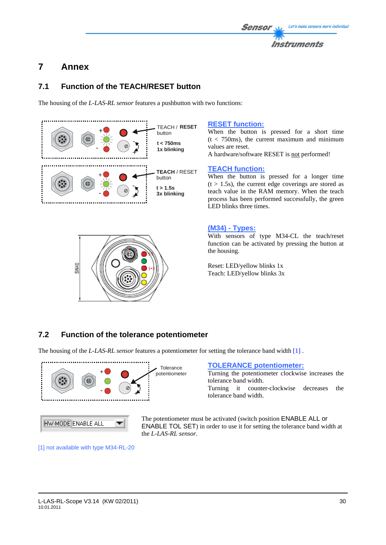### Let's make sensors more individual Sensol Instruments

# **7 Annex**

# **7.1 Function of the TEACH/RESET button**

The housing of the *L-LAS-RL sensor* features a pushbutton with two functions:

![](_page_29_Figure_4.jpeg)

![](_page_29_Picture_5.jpeg)

## **RESET function:**

When the button is pressed for a short time  $(t < 750 \text{ms})$ , the current maximum and minimum values are reset.

A hardware/software RESET is not performed!

# **TEACH function:**

When the button is pressed for a longer time  $(t > 1.5s)$ , the current edge coverings are stored as teach value in the RAM memory. When the teach process has been performed successfully, the green LED blinks three times.

# **(M34) - Types:**

With sensors of type M34-CL the teach/reset function can be activated by pressing the button at the housing.

Reset: LED/yellow blinks 1x Teach: LED/yellow blinks 3x

# **7.2 Function of the tolerance potentiometer**

The housing of the *L-LAS-RL sensor* features a potentiometer for setting the tolerance band width [1] .

![](_page_29_Figure_16.jpeg)

**TOLERANCE potentiometer:** 

Turning the potentiometer clockwise increases the tolerance band width.

Turning it counter-clockwise decreases the tolerance band width.

The potentiometer must be activated (switch position ENABLE ALL or ENABLE TOL SET) in order to use it for setting the tolerance band width at the *L-LAS-RL sensor*.

[1] not available with type M34-RL-20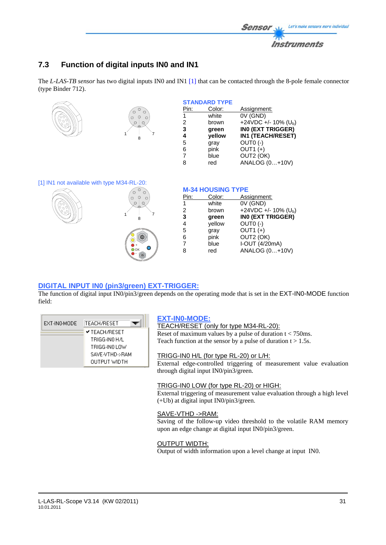![](_page_30_Picture_0.jpeg)

# **7.3 Function of digital inputs IN0 and IN1**

The *L-LAS-TB sensor* has two digital inputs IN0 and IN1 [1] that can be contacted through the 8-pole female connector (type Binder 712).

![](_page_30_Figure_3.jpeg)

### [1] IN1 not available with type M34-RL-20:

![](_page_30_Picture_5.jpeg)

![](_page_30_Figure_6.jpeg)

### **M-34 HOUSING TYPE**

| white<br>1                             | Assignment: |  |
|----------------------------------------|-------------|--|
|                                        | 0V (GND)    |  |
| +24VDC +/- 10% ( $U_b$ )<br>brown<br>2 |             |  |
| INO (EXT TRIGGER)<br>3<br>green        |             |  |
| OUTO (-)<br>yellow<br>4                |             |  |
| OUT1 (+)<br>5<br>gray                  |             |  |
| OUT2 (OK)<br>pink<br>6                 |             |  |
| I-OUT (4/20mA)<br>blue<br>7            |             |  |
| ANALOG (0+10V)<br>red<br>8             |             |  |

### **DIGITAL INPUT IN0 (pin3/green) EXT-TRIGGER:**

The function of digital input IN0/pin3/green depends on the operating mode that is set in the EXT-IN0-MODE function field:

| EXT-INO-MODE | TEACH/RESET          |
|--------------|----------------------|
|              | <b>V TEACH/RESET</b> |
|              | TRIGG-INN H7L        |
|              | TRIGG-INO LOW        |
|              | SAVE-VTHD->RAM       |
|              | OUTPUT WIDTH         |

# **EXT-IN0-MODE:**

TEACH/RESET (only for type M34-RL-20): Reset of maximum values by a pulse of duration  $t < 750$  ms. Teach function at the sensor by a pulse of duration  $t > 1.5s$ .

### TRIGG-IN0 H/L (for type RL-20) or L/H:

External edge-controlled triggering of measurement value evaluation through digital input IN0/pin3/green.

### TRIGG-IN0 LOW (for type RL-20) or HIGH:

External triggering of measurement value evaluation through a high level (+Ub) at digital input IN0/pin3/green.

### SAVE-VTHD ->RAM:

Saving of the follow-up video threshold to the volatile RAM memory upon an edge change at digital input IN0/pin3/green.

### OUTPUT WIDTH:

Output of width information upon a level change at input IN0.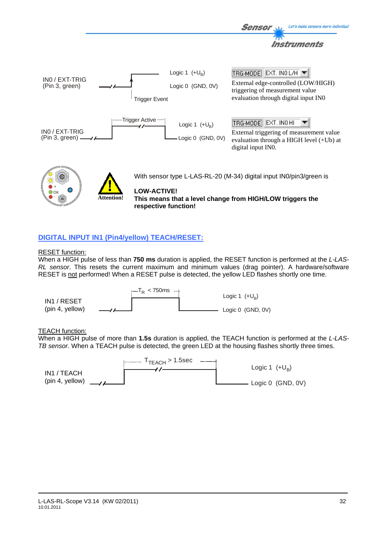![](_page_31_Figure_0.jpeg)

# **DIGITAL INPUT IN1 (Pin4/yellow) TEACH/RESET:**

### RESET function:

When a HIGH pulse of less than **750 ms** duration is applied, the RESET function is performed at the *L-LAS-RL sensor*. This resets the current maximum and minimum values (drag pointer). A hardware/software RESET is not performed! When a RESET pulse is detected, the yellow LED flashes shortly one time.

![](_page_31_Figure_4.jpeg)

### TEACH function:

When a HIGH pulse of more than **1.5s** duration is applied, the TEACH function is performed at the *L-LAS-TB sensor*. When a TEACH pulse is detected, the green LED at the housing flashes shortly three times.

![](_page_31_Figure_7.jpeg)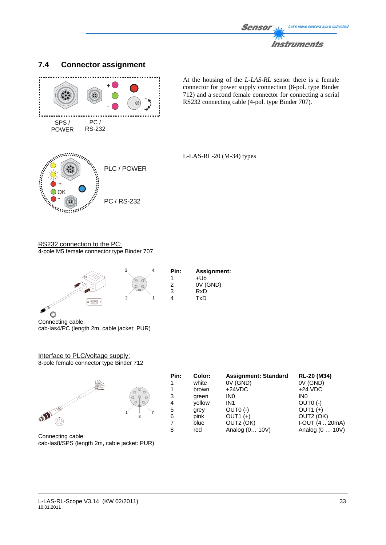![](_page_32_Picture_0.jpeg)

![](_page_32_Figure_1.jpeg)

# **7.4 Connector assignment**

At the housing of the *L-LAS-RL* sensor there is a female connector for power supply connection (8-pol. type Binder 712) and a second female connector for connecting a serial RS232 connecting cable (4-pol. type Binder 707).

![](_page_32_Figure_4.jpeg)

L-LAS-RL-20 (M-34) types

RS232 connection to the PC: 4-pole M5 female connector type Binder 707

![](_page_32_Figure_7.jpeg)

1

| Pin: | <b>Assignment:</b> |
|------|--------------------|
| 1    | +Ub                |
| 2    | 0V (GND)           |
| 3    | RxD                |
| 4    | TxD                |

Connecting cable: cab-las4/PC (length 2m, cable jacket: PUR)

### Interface to PLC/voltage supply: 8-pole female connector type Binder 712

![](_page_32_Figure_12.jpeg)

Connecting cable: cab-las8/SPS (length 2m, cable jacket: PUR)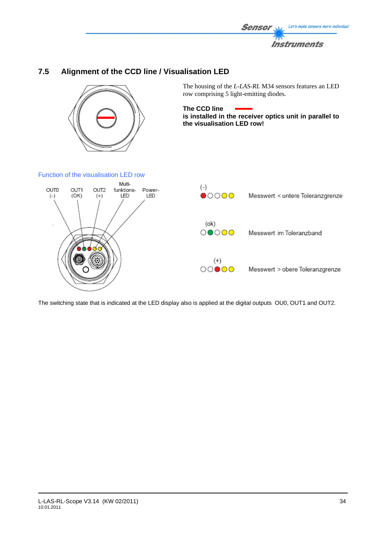![](_page_33_Picture_0.jpeg)

# **7.5 Alignment of the CCD line / Visualisation LED**

![](_page_33_Picture_2.jpeg)

The housing of the *L-LAS-RL* M34 sensors features an LED row comprising 5 light-emitting diodes.

**The CCD line is installed in the receiver optics unit in parallel to the visualisation LED row!** 

### Function of the visualisation LED row

![](_page_33_Figure_6.jpeg)

The switching state that is indicated at the LED display also is applied at the digital outputs OU0, OUT1 and OUT2.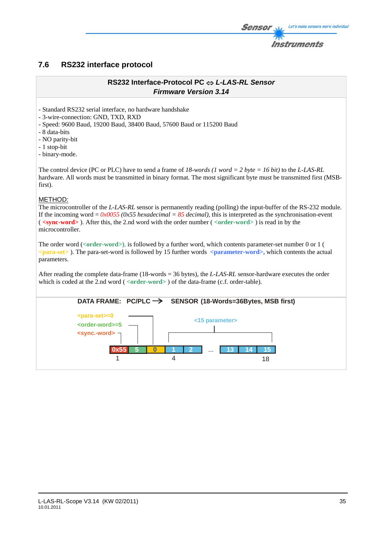# **7.6 RS232 interface protocol**

# **RS232 Interface-Protocol PC** ⇔ *L-LAS-RL Sensor Firmware Version 3.14*

- Standard RS232 serial interface, no hardware handshake

- 3-wire-connection: GND, TXD, RXD

- Speed: 9600 Baud, 19200 Baud, 38400 Baud, 57600 Baud or 115200 Baud

- 8 data-bits

- NO parity-bit

- 1 stop-bit

- binary-mode.

The control device (PC or PLC) have to send a frame of *18-words (1 word = 2 byte = 16 bit)* to the *L-LAS-RL*  hardware. All words must be transmitted in binary format. The most significant byte must be transmitted first (MSBfirst).

### METHOD:

The microcontroller of the *L-LAS-RL* sensor is permanently reading (polling) the input-buffer of the RS-232 module. If the incoming word =  $0x0055$  ( $0x55$  hexadecimal =  $85$  decimal), this is interpreted as the synchronisation-event ( **<sync-word>** ). After this, the 2.nd word with the order number ( *<***order-word>** ) is read in by the microcontroller.

The order word (*<***order-word>)**, is followed by a further word, which contents parameter-set number 0 or 1 ( *<***para-set>** ). The para-set-word is followed by 15 further words **<parameter-word>,** which contents the actual parameters.

After reading the complete data-frame (18-words = 36 bytes), the *L-LAS-RL* sensor-hardware executes the order which is coded at the 2.nd word ( <**order-word**> ) of the data-frame (c.f. order-table).

![](_page_34_Figure_14.jpeg)

Let's make sensors more individual

Instruments

Sensol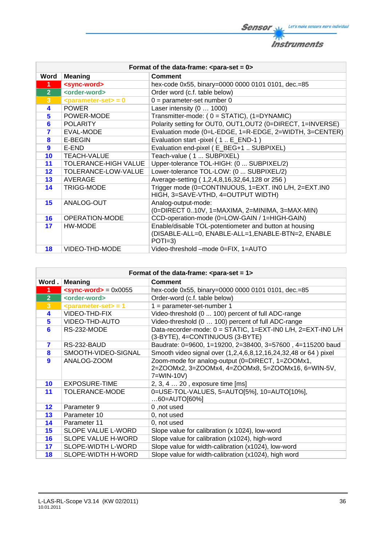**Sensor** W/<sub>2</sub> Let's make sensors more individual 柳 **Instruments** 

| Format of the data-frame: $\leq$ para-set = 0> |                               |                                                                                                                          |  |  |
|------------------------------------------------|-------------------------------|--------------------------------------------------------------------------------------------------------------------------|--|--|
| <b>Word</b>                                    | <b>Meaning</b>                | <b>Comment</b>                                                                                                           |  |  |
| 1                                              | <sync-word></sync-word>       | hex-code 0x55, binary=0000 0000 0101 0101, dec.=85                                                                       |  |  |
| $\overline{2}$                                 | <order-word></order-word>     | Order word (c.f. table below)                                                                                            |  |  |
| $\overline{3}$                                 | $\epsilon$ parameter-set> = 0 | $0 = parameter-set number 0$                                                                                             |  |  |
| 4                                              | <b>POWER</b>                  | Laser intensity (0  1000)                                                                                                |  |  |
| 5                                              | POWER-MODE                    | Transmitter-mode: (0 = STATIC), (1=DYNAMIC)                                                                              |  |  |
| 6                                              | <b>POLARITY</b>               | Polarity setting for OUT0, OUT1, OUT2 (0=DIRECT, 1=INVERSE)                                                              |  |  |
| $\overline{\mathbf{z}}$                        | EVAL-MODE                     | Evaluation mode (0=L-EDGE, 1=R-EDGE, 2=WIDTH, 3=CENTER)                                                                  |  |  |
| 8                                              | E-BEGIN                       | Evaluation start -pixel (1. E_END-1)                                                                                     |  |  |
| $\boldsymbol{9}$                               | E-END                         | Evaluation end-pixel (E_BEG+1  SUBPIXEL)                                                                                 |  |  |
| 10                                             | <b>TEACH-VALUE</b>            | Teach-value (1  SUBPIXEL)                                                                                                |  |  |
| 11                                             | <b>TOLERANCE-HIGH VALUE</b>   | Upper-tolerance TOL-HIGH: (0  SUBPIXEL/2)                                                                                |  |  |
| $12 \overline{ }$                              | TOLERANCE-LOW-VALUE           | Lower-tolerance TOL-LOW: (0  SUBPIXEL/2)                                                                                 |  |  |
| 13                                             | AVERAGE                       | Average-setting (1,2,4,8,16,32,64,128 or 256)                                                                            |  |  |
| 14                                             | <b>TRIGG-MODE</b>             | Trigger mode (0=CONTINUOUS, 1=EXT. IN0 L/H, 2=EXT.IN0<br>HIGH, 3=SAVE-VTHD, 4=OUTPUT WIDTH)                              |  |  |
| 15                                             | ANALOG-OUT                    | Analog-output-mode:<br>(0=DIRECT 010V, 1=MAXIMA, 2=MINIMA, 3=MAX-MIN)                                                    |  |  |
| 16                                             | OPERATION-MODE                | CCD-operation-mode (0=LOW-GAIN / 1=HIGH-GAIN)                                                                            |  |  |
| 17                                             | HW-MODE                       | Enable/disable TOL-potentiometer and button at housing<br>(DISABLE-ALL=0, ENABLE-ALL=1, ENABLE-BTN=2, ENABLE<br>$POTI=3$ |  |  |
| 18                                             | VIDEO-THD-MODE                | Video-threshold -mode 0=FIX, 1=AUTO                                                                                      |  |  |

| Format of the data-frame: $\leq$ para-set = 1> |                                                |                                                                                                                      |  |
|------------------------------------------------|------------------------------------------------|----------------------------------------------------------------------------------------------------------------------|--|
| Word.                                          | <b>Meaning</b>                                 | <b>Comment</b>                                                                                                       |  |
| 1                                              | $\epsilon$ sync-word> = 0x0055                 | hex-code 0x55, binary=0000 0000 0101 0101, dec.=85                                                                   |  |
| 2 <sup>1</sup>                                 | <order-word></order-word>                      | Order-word (c.f. table below)                                                                                        |  |
| 3 <sup>2</sup>                                 | $\epsilon$ <parameter-set> = 1</parameter-set> | $1 = parameter-set-number 1$                                                                                         |  |
| 4                                              | VIDEO-THD-FIX                                  | Video-threshold (0  100) percent of full ADC-range                                                                   |  |
| 5                                              | VIDEO-THD-AUTO                                 | Video-threshold (0  100) percent of full ADC-range                                                                   |  |
| 6                                              | RS-232-MODE                                    | Data-recorder-mode: 0 = STATIC, 1=EXT-IN0 L/H, 2=EXT-IN0 L/H<br>(3-BYTE), 4=CONTINUOUS (3-BYTE)                      |  |
| 7                                              | RS-232-BAUD                                    | Baudrate: 0=9600, 1=19200, 2=38400, 3=57600, 4=115200 baud                                                           |  |
| 8                                              | SMOOTH-VIDEO-SIGNAL                            | Smooth video signal over (1,2,4,6,8,12,16,24,32,48 or 64) pixel                                                      |  |
| 9                                              | ANALOG-ZOOM                                    | Zoom-mode for analog-output (0=DIRECT, 1=ZOOMx1,<br>2=ZOOMx2, 3=ZOOMx4, 4=ZOOMx8, 5=ZOOMx16, 6=WIN-5V,<br>7=WIN-10V) |  |
| 10                                             | EXPOSURE-TIME                                  | 2, 3, 4  20, exposure time [ms]                                                                                      |  |
| 11                                             | <b>TOLERANCE-MODE</b>                          | 0=USE-TOL-VALUES, 5=AUTO[5%], 10=AUTO[10%],<br>$60 =$ AUTO $[60\%]$                                                  |  |
| $12 \overline{ }$                              | Parameter 9                                    | 0, not used                                                                                                          |  |
| 13                                             | Parameter 10                                   | 0, not used                                                                                                          |  |
| 14                                             | Parameter 11                                   | 0, not used                                                                                                          |  |
| 15                                             | SLOPE VALUE L-WORD                             | Slope value for calibration (x 1024), low-word                                                                       |  |
| 16                                             | SLOPE VALUE H-WORD                             | Slope value for calibration (x1024), high-word                                                                       |  |
| 17                                             | SLOPE-WIDTH L-WORD                             | Slope value for width-calibration (x1024), low-word                                                                  |  |
| 18                                             | <b>SLOPE-WIDTH H-WORD</b>                      | Slope value for width-calibration (x1024), high word                                                                 |  |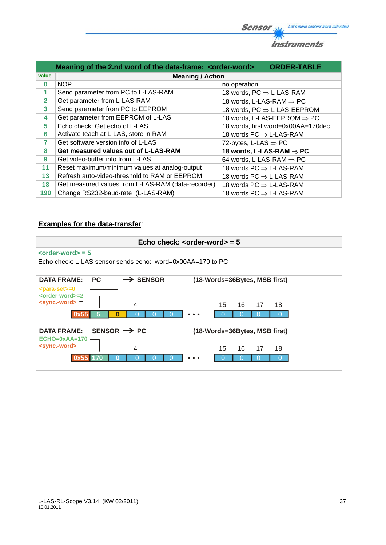![](_page_36_Picture_0.jpeg)

|                | Meaning of the 2.nd word of the data-frame: <order-word></order-word> | <b>ORDER-TABLE</b>                          |  |  |  |
|----------------|-----------------------------------------------------------------------|---------------------------------------------|--|--|--|
| value          | <b>Meaning / Action</b>                                               |                                             |  |  |  |
| $\bf{0}$       | <b>NOP</b>                                                            | no operation                                |  |  |  |
| 1              | Send parameter from PC to L-LAS-RAM                                   | 18 words, $PC \Rightarrow L\text{-LAS-RAM}$ |  |  |  |
| $\overline{2}$ | Get parameter from L-LAS-RAM                                          | 18 words, L-LAS-RAM $\Rightarrow$ PC        |  |  |  |
| 3              | Send parameter from PC to EEPROM                                      | 18 words, $PC \Rightarrow$ L-LAS-EEPROM     |  |  |  |
| 4              | Get parameter from EEPROM of L-LAS                                    | 18 words, L-LAS-EEPROM $\Rightarrow$ PC     |  |  |  |
| 5              | Echo check: Get echo of L-LAS                                         | 18 words, first word=0x00AA=170dec          |  |  |  |
| 6              | Activate teach at L-LAS, store in RAM                                 | 18 words $PC \Rightarrow L\text{-LAS-RAM}$  |  |  |  |
| $\overline{7}$ | Get software version info of L-LAS                                    | 72-bytes, L-LAS $\Rightarrow$ PC            |  |  |  |
| 8              | Get measured values out of L-LAS-RAM                                  | 18 words, L-LAS-RAM $\Rightarrow$ PC        |  |  |  |
| 9              | Get video-buffer info from L-LAS                                      | 64 words, L-LAS-RAM $\Rightarrow$ PC        |  |  |  |
| 11             | Reset maximum/minimum values at analog-output                         | 18 words $PC \Rightarrow L\text{-LAS-RAM}$  |  |  |  |
| 13             | Refresh auto-video-threshold to RAM or EEPROM                         | 18 words $PC \Rightarrow L\text{-LAS-RAM}$  |  |  |  |
| 18             | Get measured values from L-LAS-RAM (data-recorder)                    | 18 words $PC \Rightarrow L\text{-LAS-RAM}$  |  |  |  |
| 190            | Change RS232-baud-rate (L-LAS-RAM)                                    | 18 words $PC \Rightarrow L\text{-LAS-RAM}$  |  |  |  |

# **Examples for the data-transfer**:

| Echo check: $\leq$ order-word $>$ = 5                      |                      |  |          |                               |  |
|------------------------------------------------------------|----------------------|--|----------|-------------------------------|--|
| $\left\langle \text{order-word}\right\rangle =5$           |                      |  |          |                               |  |
| Echo check: L-LAS sensor sends echo: word=0x00AA=170 to PC |                      |  |          |                               |  |
| <b>DATA FRAME:</b><br><b>PC</b>                            | $\rightarrow$ SENSOR |  |          | (18-Words=36Bytes, MSB first) |  |
| <para-set>=0<br/><order-word>=2</order-word></para-set>    |                      |  |          |                               |  |
| <sync.-word> ¬</sync.-word>                                | $\overline{4}$       |  | 16<br>15 | 17<br>18                      |  |
|                                                            |                      |  |          |                               |  |
| SENSOR $\rightarrow$ PC<br><b>DATA FRAME:</b>              |                      |  |          | (18-Words=36Bytes, MSB first) |  |
| $ECHO=0xAA=170$                                            |                      |  |          |                               |  |
| $\le$ sync.-word> $\neg$                                   | 4                    |  | 16<br>15 | 17<br>18                      |  |
|                                                            |                      |  |          |                               |  |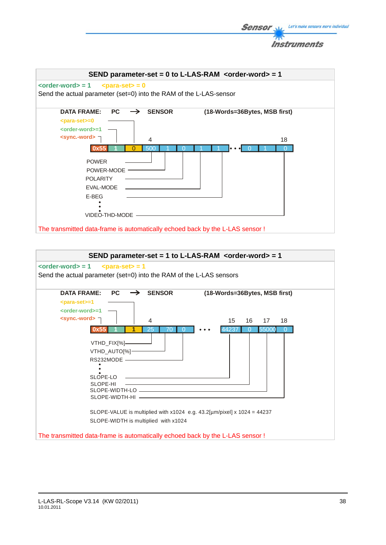![](_page_37_Picture_0.jpeg)

The transmitted data-frame is automatically echoed back by the L-LAS sensor !

![](_page_37_Figure_2.jpeg)

Let's make sensors more individual

**Sensor**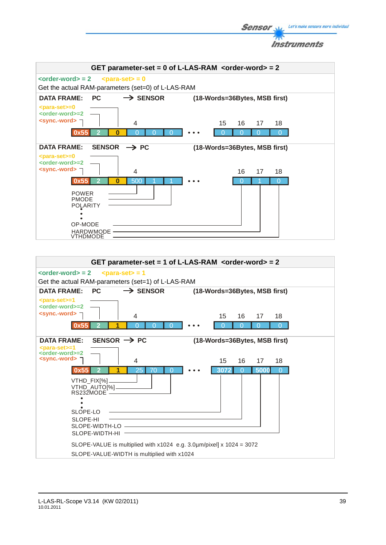![](_page_38_Picture_0.jpeg)

![](_page_38_Figure_1.jpeg)

Let's make sensors more individual

**Sensor**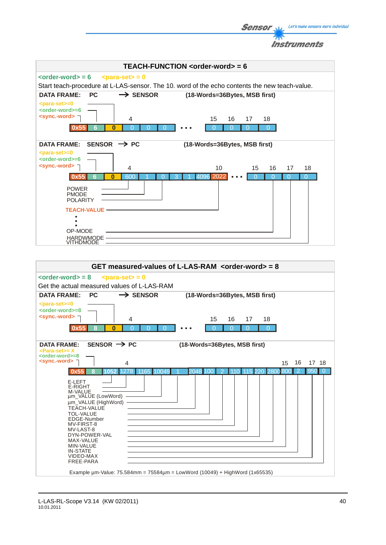Instruments **TEACH-FUNCTION <order-word> = 6**   $\left\langle \text{order-word} \right\rangle = 6$   $\left\langle \text{para-set} \right\rangle = 0$ Start teach-procedure at L-LAS-sensor. The 10. word of the echo contents the new teach-value. DATA FRAME: PC  $\rightarrow$  SENSOR (18-Words=36Bytes, MSB first) **<para-set>=0 <order-word>=6 <sync.-word>** 4 15 16 17 18 15 16 17 **0** 0 0 0 0 0 0 0 0 0 0 00 **0x55 6** DATA FRAME: SENSOR  $\rightarrow$  PC (18-Words=36Bytes, MSB first) **<para-set>=0 <order-word>=6 <sync.-word>** 4 10 15 16 17 18 10 15 16 17 3 1 4096 2022 **0x5 0** 600 1 0 3 1 4096 2022 ••• 0 0 600 1 0 3 1 4096 2022 0 0 0 0 0 0  $\overline{0}$ POWER PMODE **POLARITY TEACH-VALUE**  $\ddot{\bullet}$ OP-MODE HARDWMODE **VITHDMODE** 

**Sensor** Well Let's make sensors more individual

![](_page_39_Figure_1.jpeg)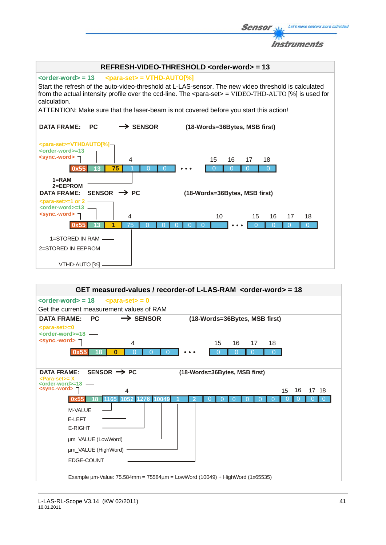![](_page_40_Figure_0.jpeg)

![](_page_40_Figure_1.jpeg)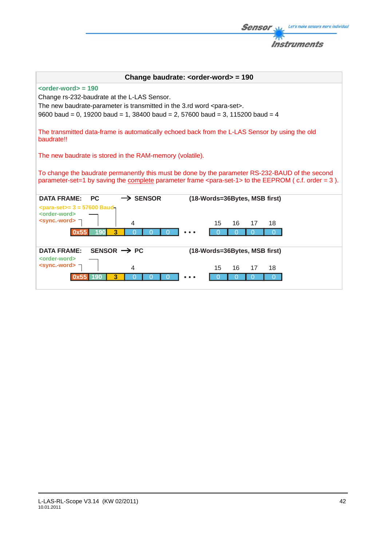| Change baudrate: <order-word> = 190</order-word>                                                                                                                                                                                                                      |                               |  |  |
|-----------------------------------------------------------------------------------------------------------------------------------------------------------------------------------------------------------------------------------------------------------------------|-------------------------------|--|--|
| $\leftarrow$ <order-word> = 190<br/>Change rs-232-baudrate at the L-LAS Sensor.<br/>The new baudrate-parameter is transmitted in the 3.rd word <para-set>.<br/>9600 baud = 0, 19200 baud = 1, 38400 baud = 2, 57600 baud = 3, 115200 baud = 4</para-set></order-word> |                               |  |  |
| The transmitted data-frame is automatically echoed back from the L-LAS Sensor by using the old<br>baudrate!!                                                                                                                                                          |                               |  |  |
| The new baudrate is stored in the RAM-memory (volatile).                                                                                                                                                                                                              |                               |  |  |
| To change the baudrate permanently this must be done by the parameter RS-232-BAUD of the second<br>parameter-set=1 by saving the complete parameter frame <para-set-1> to the EEPROM (c.f. order = 3).</para-set-1>                                                   |                               |  |  |
| $\rightarrow$ SENSOR<br><b>DATA FRAME:</b><br><b>PC</b>                                                                                                                                                                                                               | (18-Words=36Bytes, MSB first) |  |  |
| $\epsilon$ para-set>= 3 = 57600 Baud-<br><order-word><br/><sync.-word><br/>4<br/>15<br/>3<br/>190</sync.-word></order-word>                                                                                                                                           | 16<br>18<br>17                |  |  |
| SENSOR $\rightarrow$ PC<br><b>DATA FRAME:</b>                                                                                                                                                                                                                         | (18-Words=36Bytes, MSB first) |  |  |
| <order-word><br/><sync.-word><br/>15<br/>4<br/>3</sync.-word></order-word>                                                                                                                                                                                            | 16<br>18<br>17                |  |  |

**Sensor** W/<sub>2</sub> Let's make sensors more individual

**Instruments** 

 $\mathcal{P}$